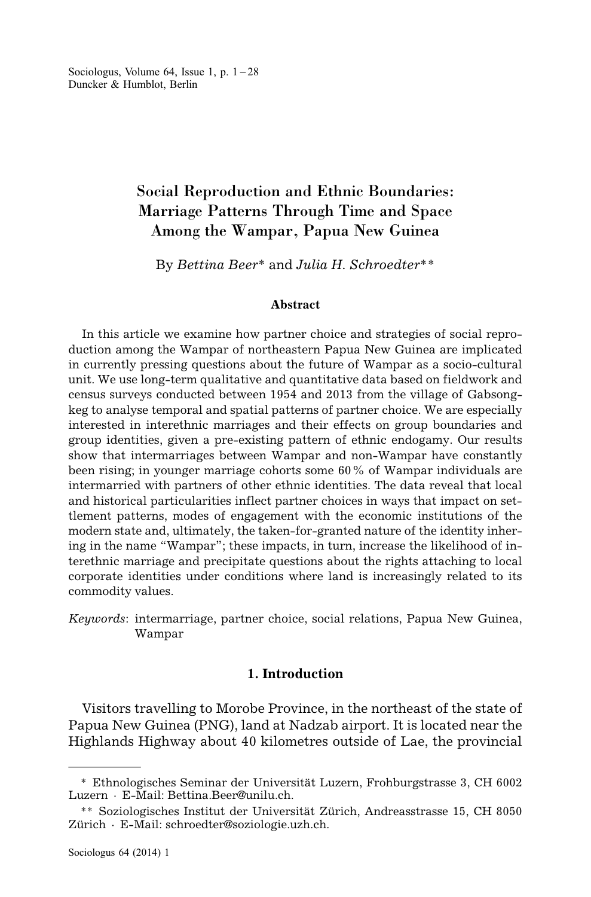Sociologus, Volume 64, Issue 1, p.  $1 - 28$ Duncker & Humblot, Berlin

# Social Reproduction and Ethnic Boundaries: Marriage Patterns Through Time and Space Among the Wampar, Papua New Guinea

By *Bettina Beer*\* and *Julia H. Schroedter*\*\*

#### **Abstract**

In this article we examine how partner choice and strategies of social reproduction among the Wampar of northeastern Papua New Guinea are implicated in currently pressing questions about the future of Wampar as a socio-cultural unit. We use long-term qualitative and quantitative data based on fieldwork and census surveys conducted between 1954 and 2013 from the village of Gabsongkeg to analyse temporal and spatial patterns of partner choice. We are especially interested in interethnic marriages and their effects on group boundaries and group identities, given a pre-existing pattern of ethnic endogamy. Our results show that intermarriages between Wampar and non-Wampar have constantly been rising; in younger marriage cohorts some 60% of Wampar individuals are intermarried with partners of other ethnic identities. The data reveal that local and historical particularities inflect partner choices in ways that impact on settlement patterns, modes of engagement with the economic institutions of the modern state and, ultimately, the taken-for-granted nature of the identity inhering in the name "Wampar"; these impacts, in turn, increase the likelihood of interethnic marriage and precipitate questions about the rights attaching to local corporate identities under conditions where land is increasingly related to its commodity values.

*Keywords*: intermarriage, partner choice, social relations, Papua New Guinea, Wampar

### **1. Introduction**

Visitors travelling to Morobe Province, in the northeast of the state of Papua New Guinea (PNG), land at Nadzab airport. It is located near the Highlands Highway about 40 kilometres outside of Lae, the provincial

<sup>\*</sup> Ethnologisches Seminar der Universität Luzern, Frohburgstrasse 3, CH 6002 Luzern · E-Mail: Bettina.Beer@unilu.ch.

<sup>\*\*</sup> Soziologisches Institut der Universität Zürich, Andreasstrasse 15, CH 8050 Zürich · E-Mail: schroedter@soziologie.uzh.ch.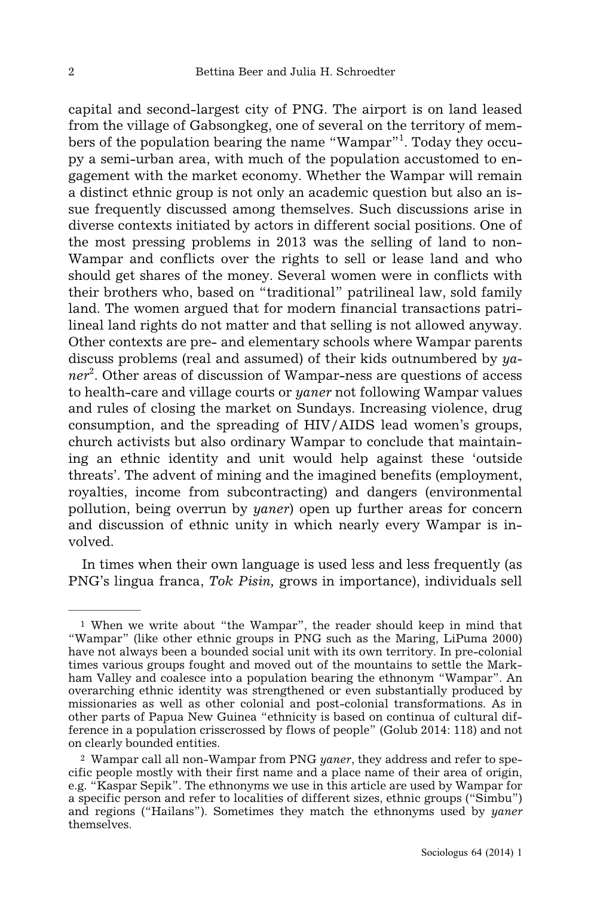capital and second-largest city of PNG. The airport is on land leased from the village of Gabsongkeg, one of several on the territory of members of the population bearing the name "Wampar"<sup>1</sup>. Today they occupy a semi-urban area, with much of the population accustomed to engagement with the market economy. Whether the Wampar will remain a distinct ethnic group is not only an academic question but also an issue frequently discussed among themselves. Such discussions arise in diverse contexts initiated by actors in different social positions. One of the most pressing problems in 2013 was the selling of land to non-Wampar and conflicts over the rights to sell or lease land and who should get shares of the money. Several women were in conflicts with their brothers who, based on "traditional" patrilineal law, sold family land. The women argued that for modern financial transactions patrilineal land rights do not matter and that selling is not allowed anyway. Other contexts are pre- and elementary schools where Wampar parents discuss problems (real and assumed) of their kids outnumbered by *yaner*<sup>2</sup> . Other areas of discussion of Wampar-ness are questions of access to health-care and village courts or *yaner* not following Wampar values and rules of closing the market on Sundays. Increasing violence, drug consumption, and the spreading of HIV/AIDS lead women's groups, church activists but also ordinary Wampar to conclude that maintaining an ethnic identity and unit would help against these 'outside threats'. The advent of mining and the imagined benefits (employment, royalties, income from subcontracting) and dangers (environmental pollution, being overrun by *yaner*) open up further areas for concern and discussion of ethnic unity in which nearly every Wampar is involved.

In times when their own language is used less and less frequently (as PNG's lingua franca, *Tok Pisin,* grows in importance), individuals sell

<sup>1</sup> When we write about "the Wampar", the reader should keep in mind that "Wampar" (like other ethnic groups in PNG such as the Maring, LiPuma 2000) have not always been a bounded social unit with its own territory. In pre-colonial times various groups fought and moved out of the mountains to settle the Markham Valley and coalesce into a population bearing the ethnonym "Wampar". An overarching ethnic identity was strengthened or even substantially produced by missionaries as well as other colonial and post-colonial transformations. As in other parts of Papua New Guinea "ethnicity is based on continua of cultural difference in a population crisscrossed by flows of people" (Golub 2014: 118) and not on clearly bounded entities.

<sup>2</sup> Wampar call all non-Wampar from PNG *yaner*, they address and refer to specific people mostly with their first name and a place name of their area of origin, e.g. "Kaspar Sepik". The ethnonyms we use in this article are used by Wampar for a specific person and refer to localities of different sizes, ethnic groups ("Simbu") and regions ("Hailans"). Sometimes they match the ethnonyms used by *yaner* themselves.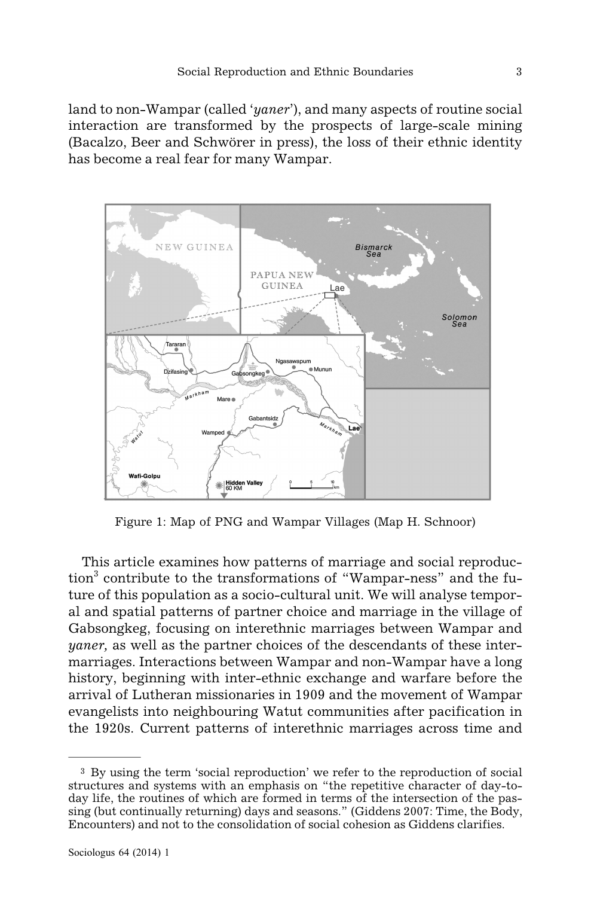land to non-Wampar (called '*yaner*'), and many aspects of routine social interaction are transformed by the prospects of large-scale mining (Bacalzo, Beer and Schwörer in press), the loss of their ethnic identity has become a real fear for many Wampar.



Figure 1: Map of PNG and Wampar Villages (Map H. Schnoor)

This article examines how patterns of marriage and social reproduc- $\{\tan^3$  contribute to the transformations of "Wampar-ness" and the future of this population as a socio-cultural unit. We will analyse temporal and spatial patterns of partner choice and marriage in the village of Gabsongkeg, focusing on interethnic marriages between Wampar and *yaner,* as well as the partner choices of the descendants of these intermarriages. Interactions between Wampar and non-Wampar have a long history, beginning with inter-ethnic exchange and warfare before the arrival of Lutheran missionaries in 1909 and the movement of Wampar evangelists into neighbouring Watut communities after pacification in the 1920s. Current patterns of interethnic marriages across time and

<sup>3</sup> By using the term 'social reproduction' we refer to the reproduction of social structures and systems with an emphasis on "the repetitive character of day-today life, the routines of which are formed in terms of the intersection of the passing (but continually returning) days and seasons." (Giddens 2007: Time, the Body, Encounters) and not to the consolidation of social cohesion as Giddens clarifies.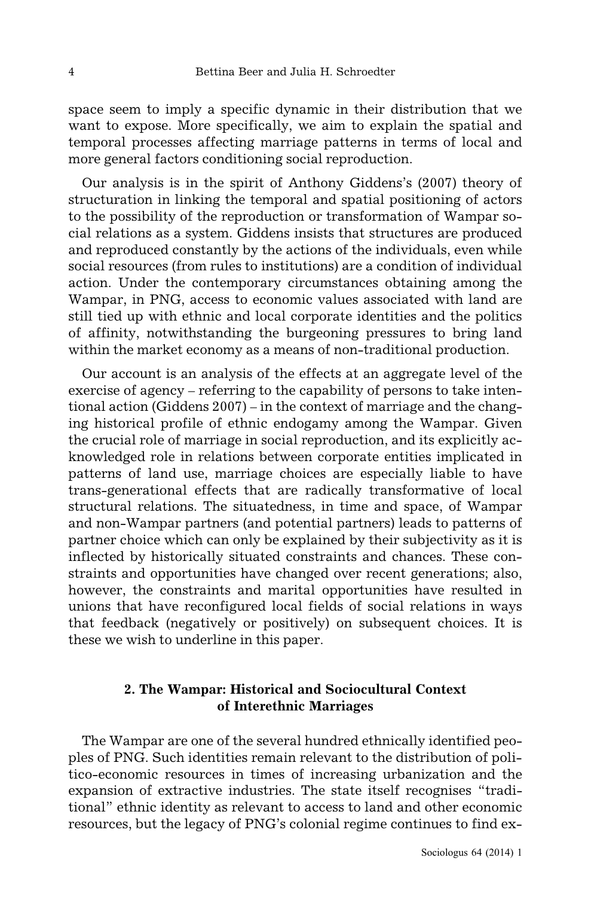space seem to imply a specific dynamic in their distribution that we want to expose. More specifically, we aim to explain the spatial and temporal processes affecting marriage patterns in terms of local and more general factors conditioning social reproduction.

Our analysis is in the spirit of Anthony Giddens's (2007) theory of structuration in linking the temporal and spatial positioning of actors to the possibility of the reproduction or transformation of Wampar social relations as a system. Giddens insists that structures are produced and reproduced constantly by the actions of the individuals, even while social resources (from rules to institutions) are a condition of individual action. Under the contemporary circumstances obtaining among the Wampar, in PNG, access to economic values associated with land are still tied up with ethnic and local corporate identities and the politics of affinity, notwithstanding the burgeoning pressures to bring land within the market economy as a means of non-traditional production.

Our account is an analysis of the effects at an aggregate level of the exercise of agency – referring to the capability of persons to take intentional action (Giddens 2007) – in the context of marriage and the changing historical profile of ethnic endogamy among the Wampar. Given the crucial role of marriage in social reproduction, and its explicitly acknowledged role in relations between corporate entities implicated in patterns of land use, marriage choices are especially liable to have trans-generational effects that are radically transformative of local structural relations. The situatedness, in time and space, of Wampar and non-Wampar partners (and potential partners) leads to patterns of partner choice which can only be explained by their subjectivity as it is inflected by historically situated constraints and chances. These constraints and opportunities have changed over recent generations; also, however, the constraints and marital opportunities have resulted in unions that have reconfigured local fields of social relations in ways that feedback (negatively or positively) on subsequent choices. It is these we wish to underline in this paper.

# **2. The Wampar: Historical and Sociocultural Context of Interethnic Marriages**

The Wampar are one of the several hundred ethnically identified peoples of PNG. Such identities remain relevant to the distribution of politico-economic resources in times of increasing urbanization and the expansion of extractive industries. The state itself recognises "traditional" ethnic identity as relevant to access to land and other economic resources, but the legacy of PNG's colonial regime continues to find ex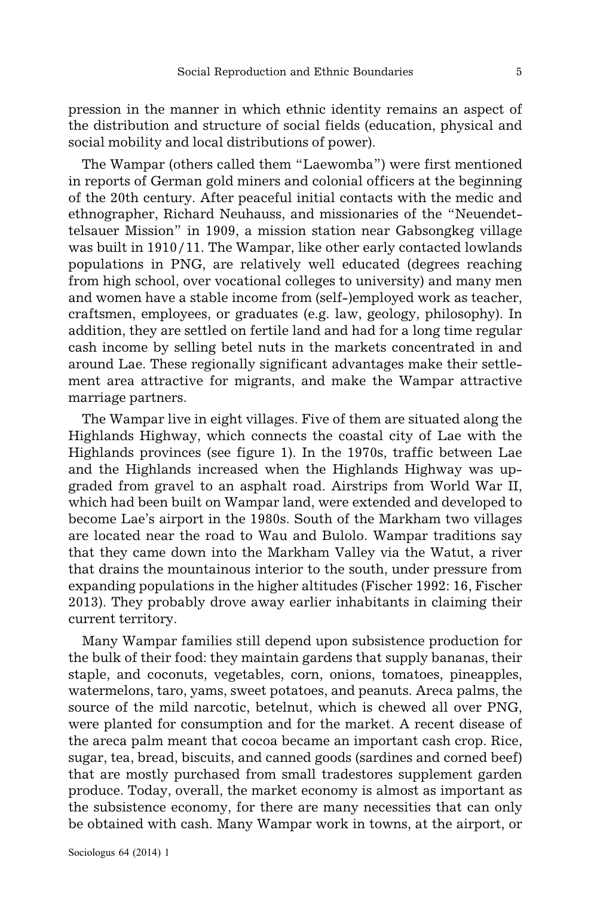pression in the manner in which ethnic identity remains an aspect of the distribution and structure of social fields (education, physical and social mobility and local distributions of power).

The Wampar (others called them "Laewomba") were first mentioned in reports of German gold miners and colonial officers at the beginning of the 20th century. After peaceful initial contacts with the medic and ethnographer, Richard Neuhauss, and missionaries of the "Neuendettelsauer Mission" in 1909, a mission station near Gabsongkeg village was built in 1910/11. The Wampar, like other early contacted lowlands populations in PNG, are relatively well educated (degrees reaching from high school, over vocational colleges to university) and many men and women have a stable income from (self-)employed work as teacher, craftsmen, employees, or graduates (e.g. law, geology, philosophy). In addition, they are settled on fertile land and had for a long time regular cash income by selling betel nuts in the markets concentrated in and around Lae. These regionally significant advantages make their settlement area attractive for migrants, and make the Wampar attractive marriage partners.

The Wampar live in eight villages. Five of them are situated along the Highlands Highway, which connects the coastal city of Lae with the Highlands provinces (see figure 1). In the 1970s, traffic between Lae and the Highlands increased when the Highlands Highway was upgraded from gravel to an asphalt road. Airstrips from World War II, which had been built on Wampar land, were extended and developed to become Lae's airport in the 1980s. South of the Markham two villages are located near the road to Wau and Bulolo. Wampar traditions say that they came down into the Markham Valley via the Watut, a river that drains the mountainous interior to the south, under pressure from expanding populations in the higher altitudes (Fischer 1992: 16, Fischer 2013). They probably drove away earlier inhabitants in claiming their current territory.

Many Wampar families still depend upon subsistence production for the bulk of their food: they maintain gardens that supply bananas, their staple, and coconuts, vegetables, corn, onions, tomatoes, pineapples, watermelons, taro, yams, sweet potatoes, and peanuts. Areca palms, the source of the mild narcotic, betelnut, which is chewed all over PNG, were planted for consumption and for the market. A recent disease of the areca palm meant that cocoa became an important cash crop. Rice, sugar, tea, bread, biscuits, and canned goods (sardines and corned beef) that are mostly purchased from small tradestores supplement garden produce. Today, overall, the market economy is almost as important as the subsistence economy, for there are many necessities that can only be obtained with cash. Many Wampar work in towns, at the airport, or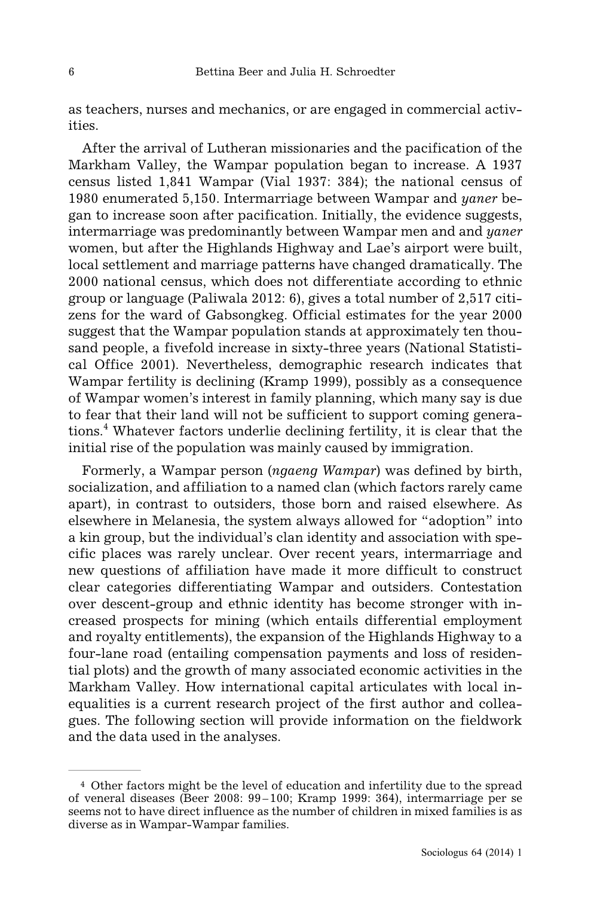as teachers, nurses and mechanics, or are engaged in commercial activities.

After the arrival of Lutheran missionaries and the pacification of the Markham Valley, the Wampar population began to increase. A 1937 census listed 1,841 Wampar (Vial 1937: 384); the national census of 1980 enumerated 5,150. Intermarriage between Wampar and *yaner* began to increase soon after pacification. Initially, the evidence suggests, intermarriage was predominantly between Wampar men and and *yaner* women, but after the Highlands Highway and Lae's airport were built, local settlement and marriage patterns have changed dramatically. The 2000 national census, which does not differentiate according to ethnic group or language (Paliwala 2012: 6), gives a total number of 2,517 citizens for the ward of Gabsongkeg. Official estimates for the year 2000 suggest that the Wampar population stands at approximately ten thousand people, a fivefold increase in sixty-three years (National Statistical Office 2001). Nevertheless, demographic research indicates that Wampar fertility is declining (Kramp 1999), possibly as a consequence of Wampar women's interest in family planning, which many say is due to fear that their land will not be sufficient to support coming generations.<sup>4</sup> Whatever factors underlie declining fertility, it is clear that the initial rise of the population was mainly caused by immigration.

Formerly, a Wampar person (*ngaeng Wampar*) was defined by birth, socialization, and affiliation to a named clan (which factors rarely came apart), in contrast to outsiders, those born and raised elsewhere. As elsewhere in Melanesia, the system always allowed for "adoption" into a kin group, but the individual's clan identity and association with specific places was rarely unclear. Over recent years, intermarriage and new questions of affiliation have made it more difficult to construct clear categories differentiating Wampar and outsiders. Contestation over descent-group and ethnic identity has become stronger with increased prospects for mining (which entails differential employment and royalty entitlements), the expansion of the Highlands Highway to a four-lane road (entailing compensation payments and loss of residential plots) and the growth of many associated economic activities in the Markham Valley. How international capital articulates with local inequalities is a current research project of the first author and colleagues. The following section will provide information on the fieldwork and the data used in the analyses.

<sup>4</sup> Other factors might be the level of education and infertility due to the spread of veneral diseases (Beer 2008: 99–100; Kramp 1999: 364), intermarriage per se seems not to have direct influence as the number of children in mixed families is as diverse as in Wampar-Wampar families.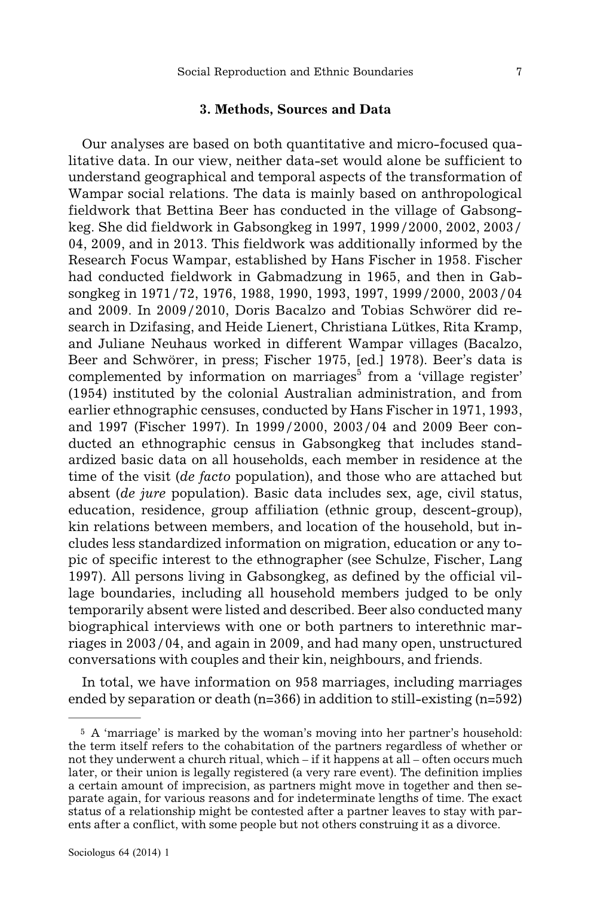# **3. Methods, Sources and Data**

Our analyses are based on both quantitative and micro-focused qualitative data. In our view, neither data-set would alone be sufficient to understand geographical and temporal aspects of the transformation of Wampar social relations. The data is mainly based on anthropological fieldwork that Bettina Beer has conducted in the village of Gabsongkeg. She did fieldwork in Gabsongkeg in 1997, 1999/2000, 2002, 2003/ 04, 2009, and in 2013. This fieldwork was additionally informed by the Research Focus Wampar, established by Hans Fischer in 1958. Fischer had conducted fieldwork in Gabmadzung in 1965, and then in Gabsongkeg in 1971/72, 1976, 1988, 1990, 1993, 1997, 1999/2000, 2003/04 and 2009. In 2009/2010, Doris Bacalzo and Tobias Schwörer did research in Dzifasing, and Heide Lienert, Christiana Lütkes, Rita Kramp, and Juliane Neuhaus worked in different Wampar villages (Bacalzo, Beer and Schwörer, in press; Fischer 1975, [ed.] 1978). Beer's data is complemented by information on marriages<sup>5</sup> from a 'village register' (1954) instituted by the colonial Australian administration, and from earlier ethnographic censuses, conducted by Hans Fischer in 1971, 1993, and 1997 (Fischer 1997). In 1999/2000, 2003/04 and 2009 Beer conducted an ethnographic census in Gabsongkeg that includes standardized basic data on all households, each member in residence at the time of the visit (*de facto* population), and those who are attached but absent (*de jure* population). Basic data includes sex, age, civil status, education, residence, group affiliation (ethnic group, descent-group), kin relations between members, and location of the household, but includes less standardized information on migration, education or any topic of specific interest to the ethnographer (see Schulze, Fischer, Lang 1997). All persons living in Gabsongkeg, as defined by the official village boundaries, including all household members judged to be only temporarily absent were listed and described. Beer also conducted many biographical interviews with one or both partners to interethnic marriages in 2003/04, and again in 2009, and had many open, unstructured conversations with couples and their kin, neighbours, and friends.

In total, we have information on 958 marriages, including marriages ended by separation or death (n=366) in addition to still-existing (n=592)

<sup>5</sup> A 'marriage' is marked by the woman's moving into her partner's household: the term itself refers to the cohabitation of the partners regardless of whether or not they underwent a church ritual, which – if it happens at all – often occurs much later, or their union is legally registered (a very rare event). The definition implies a certain amount of imprecision, as partners might move in together and then separate again, for various reasons and for indeterminate lengths of time. The exact status of a relationship might be contested after a partner leaves to stay with parents after a conflict, with some people but not others construing it as a divorce.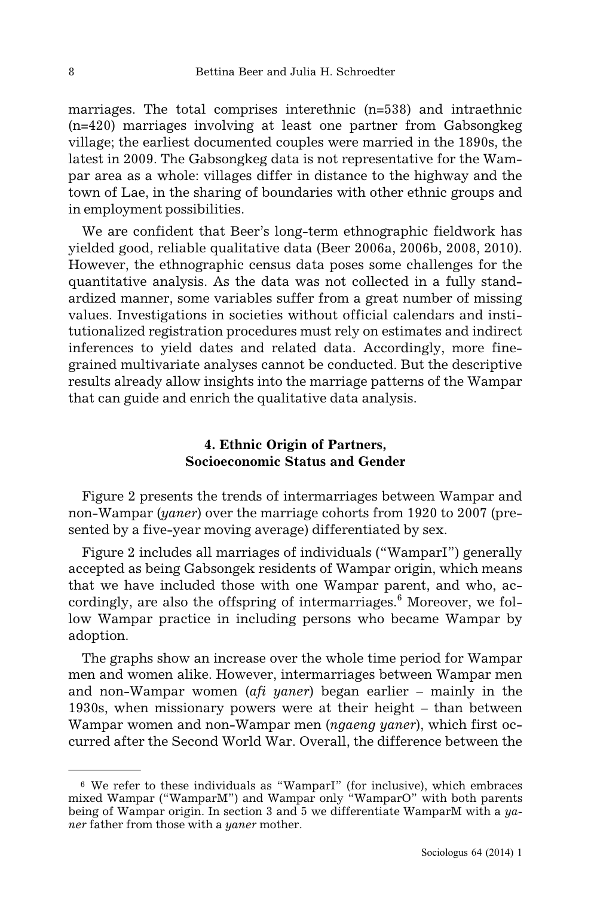marriages. The total comprises interethnic (n=538) and intraethnic (n=420) marriages involving at least one partner from Gabsongkeg village; the earliest documented couples were married in the 1890s, the latest in 2009. The Gabsongkeg data is not representative for the Wampar area as a whole: villages differ in distance to the highway and the town of Lae, in the sharing of boundaries with other ethnic groups and in employment possibilities.

We are confident that Beer's long-term ethnographic fieldwork has yielded good, reliable qualitative data (Beer 2006a, 2006b, 2008, 2010). However, the ethnographic census data poses some challenges for the quantitative analysis. As the data was not collected in a fully standardized manner, some variables suffer from a great number of missing values. Investigations in societies without official calendars and institutionalized registration procedures must rely on estimates and indirect inferences to yield dates and related data. Accordingly, more finegrained multivariate analyses cannot be conducted. But the descriptive results already allow insights into the marriage patterns of the Wampar that can guide and enrich the qualitative data analysis.

# **4. Ethnic Origin of Partners, Socioeconomic Status and Gender**

Figure 2 presents the trends of intermarriages between Wampar and non-Wampar (*yaner*) over the marriage cohorts from 1920 to 2007 (presented by a five-year moving average) differentiated by sex.

Figure 2 includes all marriages of individuals ("WamparI") generally accepted as being Gabsongek residents of Wampar origin, which means that we have included those with one Wampar parent, and who, accordingly, are also the offspring of intermarriages. $6$  Moreover, we follow Wampar practice in including persons who became Wampar by adoption.

The graphs show an increase over the whole time period for Wampar men and women alike. However, intermarriages between Wampar men and non-Wampar women (*afi yaner*) began earlier – mainly in the 1930s, when missionary powers were at their height – than between Wampar women and non-Wampar men (*ngaeng yaner*), which first occurred after the Second World War. Overall, the difference between the

<sup>6</sup> We refer to these individuals as "WamparI" (for inclusive), which embraces mixed Wampar ("WamparM") and Wampar only "WamparO" with both parents being of Wampar origin. In section 3 and 5 we differentiate WamparM with a *yaner* father from those with a *yaner* mother.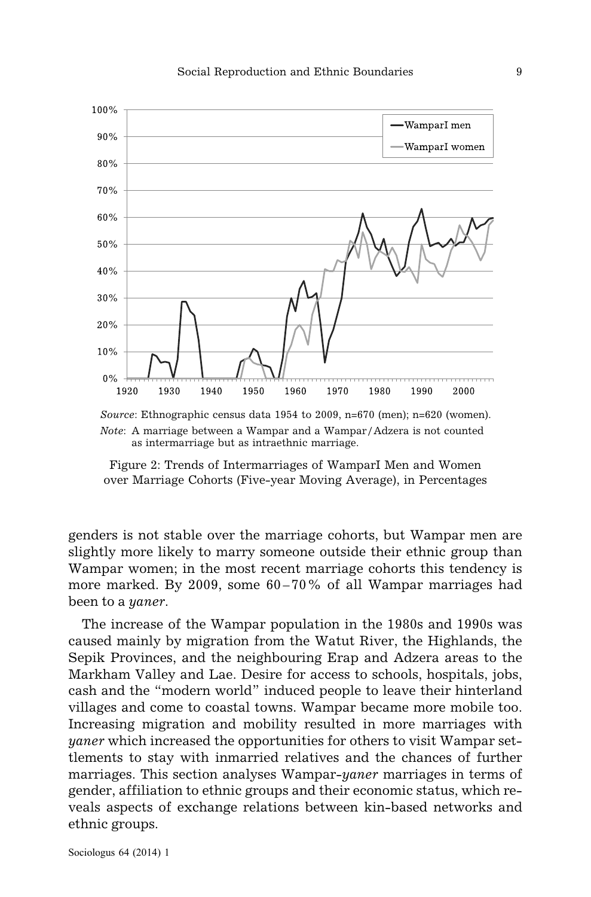

*Note*: A marriage between a Wampar and a Wampar/Adzera is not counted as intermarriage but as intraethnic marriage.

Figure 2: Trends of Intermarriages of WamparI Men and Women over Marriage Cohorts (Five-year Moving Average), in Percentages

genders is not stable over the marriage cohorts, but Wampar men are slightly more likely to marry someone outside their ethnic group than Wampar women; in the most recent marriage cohorts this tendency is more marked. By 2009, some 60–70% of all Wampar marriages had been to a *yaner*.

The increase of the Wampar population in the 1980s and 1990s was caused mainly by migration from the Watut River, the Highlands, the Sepik Provinces, and the neighbouring Erap and Adzera areas to the Markham Valley and Lae. Desire for access to schools, hospitals, jobs, cash and the "modern world" induced people to leave their hinterland villages and come to coastal towns. Wampar became more mobile too. Increasing migration and mobility resulted in more marriages with *yaner* which increased the opportunities for others to visit Wampar settlements to stay with inmarried relatives and the chances of further marriages. This section analyses Wampar-*yaner* marriages in terms of gender, affiliation to ethnic groups and their economic status, which reveals aspects of exchange relations between kin-based networks and ethnic groups.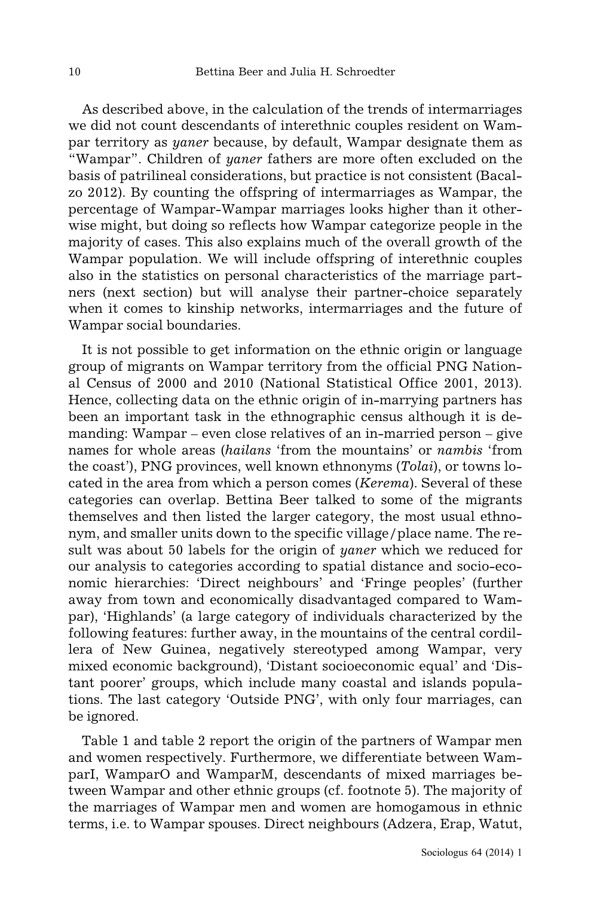As described above, in the calculation of the trends of intermarriages we did not count descendants of interethnic couples resident on Wampar territory as *yaner* because, by default, Wampar designate them as "Wampar". Children of *yaner* fathers are more often excluded on the basis of patrilineal considerations, but practice is not consistent (Bacalzo 2012). By counting the offspring of intermarriages as Wampar, the percentage of Wampar-Wampar marriages looks higher than it otherwise might, but doing so reflects how Wampar categorize people in the majority of cases. This also explains much of the overall growth of the Wampar population. We will include offspring of interethnic couples also in the statistics on personal characteristics of the marriage partners (next section) but will analyse their partner-choice separately when it comes to kinship networks, intermarriages and the future of Wampar social boundaries.

It is not possible to get information on the ethnic origin or language group of migrants on Wampar territory from the official PNG National Census of 2000 and 2010 (National Statistical Office 2001, 2013). Hence, collecting data on the ethnic origin of in-marrying partners has been an important task in the ethnographic census although it is demanding: Wampar – even close relatives of an in-married person – give names for whole areas (*hailans* 'from the mountains' or *nambis* 'from the coast'), PNG provinces, well known ethnonyms (*Tolai*), or towns located in the area from which a person comes (*Kerema*). Several of these categories can overlap. Bettina Beer talked to some of the migrants themselves and then listed the larger category, the most usual ethnonym, and smaller units down to the specific village/place name. The result was about 50 labels for the origin of *yaner* which we reduced for our analysis to categories according to spatial distance and socio-economic hierarchies: 'Direct neighbours' and 'Fringe peoples' (further away from town and economically disadvantaged compared to Wampar), 'Highlands' (a large category of individuals characterized by the following features: further away, in the mountains of the central cordillera of New Guinea, negatively stereotyped among Wampar, very mixed economic background), 'Distant socioeconomic equal' and 'Distant poorer' groups, which include many coastal and islands populations. The last category 'Outside PNG', with only four marriages, can be ignored.

Table 1 and table 2 report the origin of the partners of Wampar men and women respectively. Furthermore, we differentiate between WamparI, WamparO and WamparM, descendants of mixed marriages between Wampar and other ethnic groups (cf. footnote 5). The majority of the marriages of Wampar men and women are homogamous in ethnic terms, i.e. to Wampar spouses. Direct neighbours (Adzera, Erap, Watut,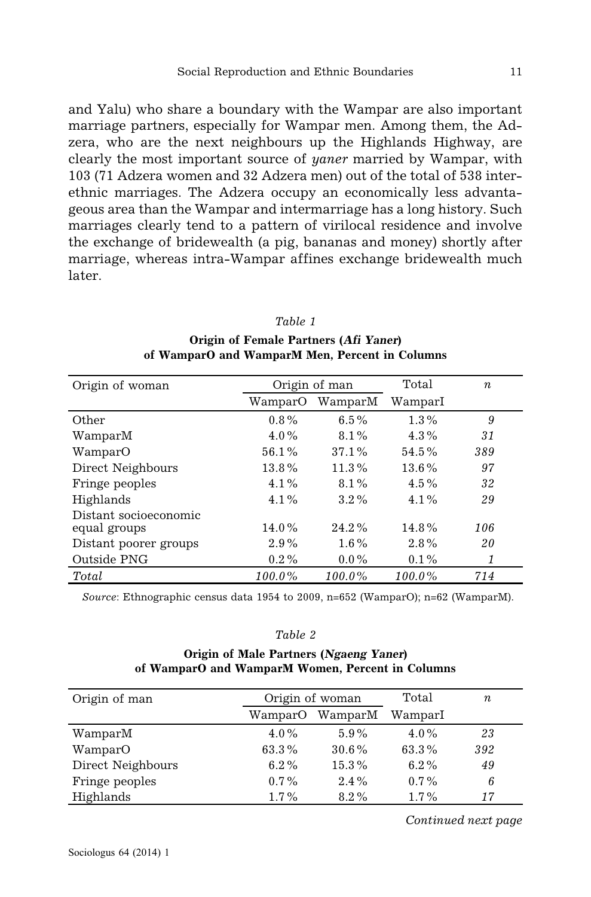and Yalu) who share a boundary with the Wampar are also important marriage partners, especially for Wampar men. Among them, the Adzera, who are the next neighbours up the Highlands Highway, are clearly the most important source of *yaner* married by Wampar, with 103 (71 Adzera women and 32 Adzera men) out of the total of 538 interethnic marriages. The Adzera occupy an economically less advantageous area than the Wampar and intermarriage has a long history. Such marriages clearly tend to a pattern of virilocal residence and involve the exchange of bridewealth (a pig, bananas and money) shortly after marriage, whereas intra-Wampar affines exchange bridewealth much later.

#### *Table 1*

**Origin of Female Partners (Afi Yaner) of WamparO and WamparM Men, Percent in Columns**

| Origin of woman       | Origin of man |           | Total     | $\boldsymbol{n}$ |
|-----------------------|---------------|-----------|-----------|------------------|
|                       | WamparO       | WamparM   | WamparI   |                  |
| Other                 | $0.8\%$       | 6.5%      | $1.3\%$   | 9                |
| WamparM               | $4.0\%$       | $8.1\%$   | $4.3\%$   | 31               |
| WamparO               | 56.1%         | 37.1%     | $54.5\%$  | 389              |
| Direct Neighbours     | 13.8%         | 11.3%     | 13.6%     | 97               |
| Fringe peoples        | $4.1\%$       | $8.1\%$   | $4.5\%$   | 32               |
| Highlands             | $4.1\%$       | $3.2\%$   | $4.1\%$   | 29               |
| Distant socioeconomic |               |           |           |                  |
| equal groups          | 14.0%         | $24.2\%$  | $14.8\%$  | 106              |
| Distant poorer groups | 2.9%          | $1.6\%$   | $2.8\%$   | 20               |
| Outside PNG           | $0.2\%$       | $0.0\%$   | $0.1\%$   | 1                |
| Total                 | 100.0%        | $100.0\%$ | $100.0\%$ | 714              |

*Source*: Ethnographic census data 1954 to 2009, n=652 (WamparO); n=62 (WamparM).

#### *Table 2*

### **Origin of Male Partners (Ngaeng Yaner) of WamparO and WamparM Women, Percent in Columns**

| Origin of man     | Origin of woman |          | Total   | $\boldsymbol{n}$ |
|-------------------|-----------------|----------|---------|------------------|
|                   | WamparO         | WamparM  | WamparI |                  |
| WamparM           | $4.0\%$         | $5.9\%$  | $4.0\%$ | 23               |
| WamparO           | 63.3%           | $30.6\%$ | 63.3%   | 392              |
| Direct Neighbours | $6.2\%$         | 15.3%    | $6.2\%$ | 49               |
| Fringe peoples    | $0.7\%$         | 2.4%     | $0.7\%$ | 6                |
| Highlands         | $1.7\%$         | $8.2\%$  | $1.7\%$ | 17               |

*Continued next page*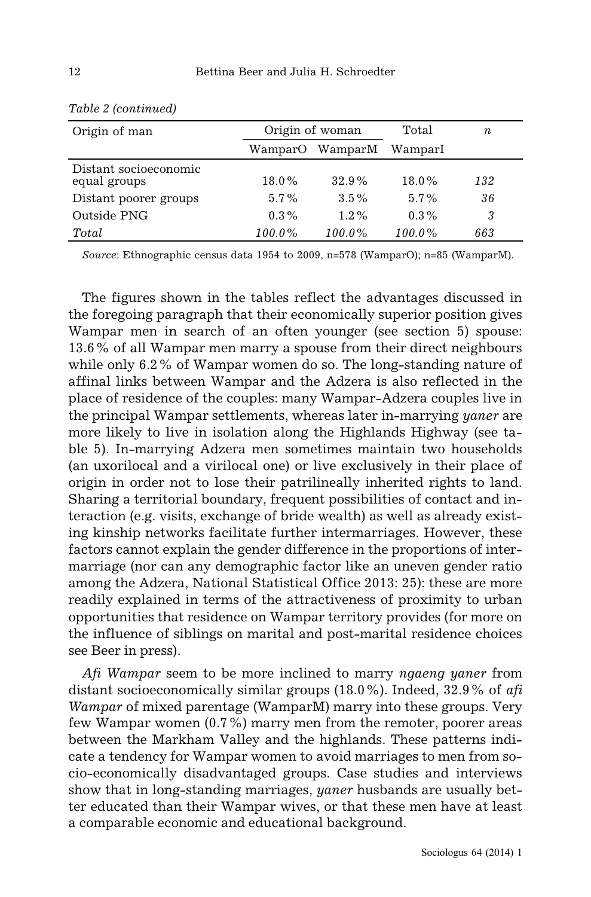| Origin of man                         | Origin of woman |                 | Total     | $\it n$ |
|---------------------------------------|-----------------|-----------------|-----------|---------|
|                                       |                 | WamparO WamparM | WamparI   |         |
| Distant socioeconomic<br>equal groups | 18.0%           | $32.9\%$        | $18.0\%$  | 132     |
| Distant poorer groups                 | $5.7\%$         | $3.5\%$         | $5.7\%$   | 36      |
| Outside PNG                           | $0.3\%$         | $1.2\%$         | $0.3\%$   | 3       |
| Total                                 | $100.0\%$       | $100.0\%$       | $100.0\%$ | 663     |

|  | Table 2 (continued) |
|--|---------------------|
|--|---------------------|

*Source*: Ethnographic census data 1954 to 2009, n=578 (WamparO); n=85 (WamparM).

The figures shown in the tables reflect the advantages discussed in the foregoing paragraph that their economically superior position gives Wampar men in search of an often younger (see section 5) spouse: 13.6% of all Wampar men marry a spouse from their direct neighbours while only 6.2% of Wampar women do so. The long-standing nature of affinal links between Wampar and the Adzera is also reflected in the place of residence of the couples: many Wampar-Adzera couples live in the principal Wampar settlements, whereas later in-marrying *yaner* are more likely to live in isolation along the Highlands Highway (see table 5). In-marrying Adzera men sometimes maintain two households (an uxorilocal and a virilocal one) or live exclusively in their place of origin in order not to lose their patrilineally inherited rights to land. Sharing a territorial boundary, frequent possibilities of contact and interaction (e.g. visits, exchange of bride wealth) as well as already existing kinship networks facilitate further intermarriages. However, these factors cannot explain the gender difference in the proportions of intermarriage (nor can any demographic factor like an uneven gender ratio among the Adzera, National Statistical Office 2013: 25): these are more readily explained in terms of the attractiveness of proximity to urban opportunities that residence on Wampar territory provides (for more on the influence of siblings on marital and post-marital residence choices see Beer in press).

*Afi Wampar* seem to be more inclined to marry *ngaeng yaner* from distant socioeconomically similar groups (18.0%). Indeed, 32.9% of *afi Wampar* of mixed parentage (WamparM) marry into these groups. Very few Wampar women (0.7%) marry men from the remoter, poorer areas between the Markham Valley and the highlands. These patterns indicate a tendency for Wampar women to avoid marriages to men from socio-economically disadvantaged groups. Case studies and interviews show that in long-standing marriages, *yaner* husbands are usually better educated than their Wampar wives, or that these men have at least a comparable economic and educational background.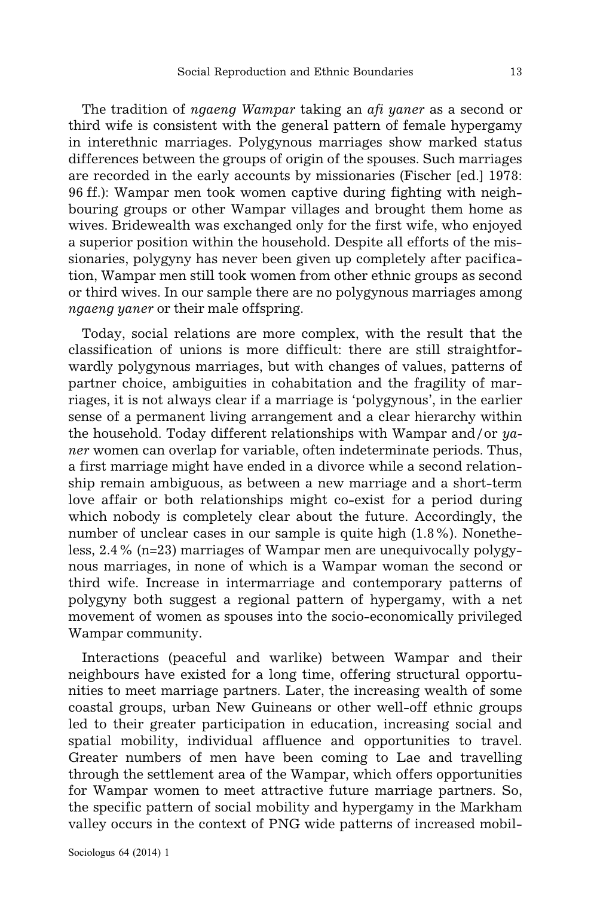The tradition of *ngaeng Wampar* taking an *afi yaner* as a second or third wife is consistent with the general pattern of female hypergamy in interethnic marriages. Polygynous marriages show marked status differences between the groups of origin of the spouses. Such marriages are recorded in the early accounts by missionaries (Fischer [ed.] 1978: 96 ff.): Wampar men took women captive during fighting with neighbouring groups or other Wampar villages and brought them home as wives. Bridewealth was exchanged only for the first wife, who enjoyed a superior position within the household. Despite all efforts of the missionaries, polygyny has never been given up completely after pacification, Wampar men still took women from other ethnic groups as second or third wives. In our sample there are no polygynous marriages among *ngaeng yaner* or their male offspring.

Today, social relations are more complex, with the result that the classification of unions is more difficult: there are still straightforwardly polygynous marriages, but with changes of values, patterns of partner choice, ambiguities in cohabitation and the fragility of marriages, it is not always clear if a marriage is 'polygynous', in the earlier sense of a permanent living arrangement and a clear hierarchy within the household. Today different relationships with Wampar and/or *yaner* women can overlap for variable, often indeterminate periods. Thus, a first marriage might have ended in a divorce while a second relationship remain ambiguous, as between a new marriage and a short-term love affair or both relationships might co-exist for a period during which nobody is completely clear about the future. Accordingly, the number of unclear cases in our sample is quite high (1.8%). Nonetheless, 2.4% (n=23) marriages of Wampar men are unequivocally polygynous marriages, in none of which is a Wampar woman the second or third wife. Increase in intermarriage and contemporary patterns of polygyny both suggest a regional pattern of hypergamy, with a net movement of women as spouses into the socio-economically privileged Wampar community.

Interactions (peaceful and warlike) between Wampar and their neighbours have existed for a long time, offering structural opportunities to meet marriage partners. Later, the increasing wealth of some coastal groups, urban New Guineans or other well-off ethnic groups led to their greater participation in education, increasing social and spatial mobility, individual affluence and opportunities to travel. Greater numbers of men have been coming to Lae and travelling through the settlement area of the Wampar, which offers opportunities for Wampar women to meet attractive future marriage partners. So, the specific pattern of social mobility and hypergamy in the Markham valley occurs in the context of PNG wide patterns of increased mobil-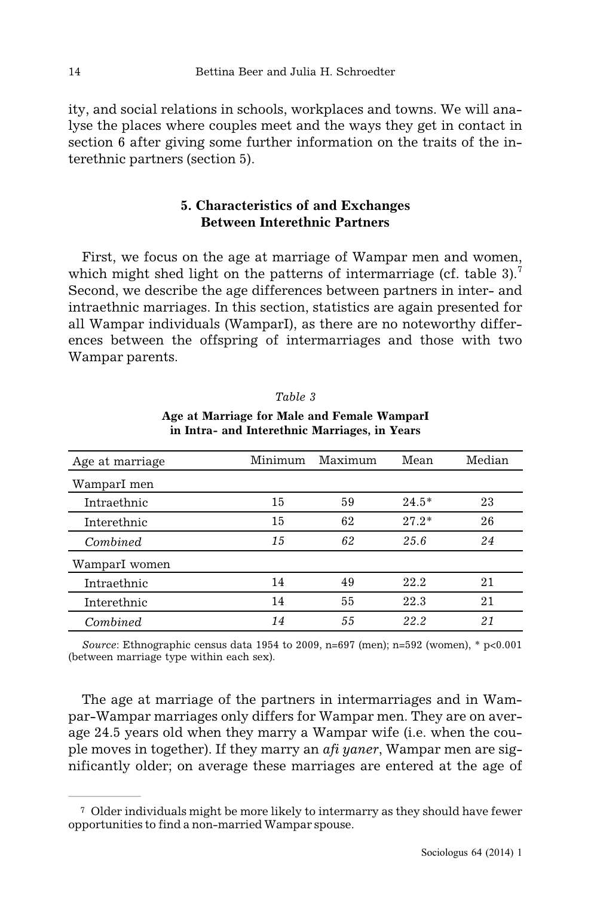ity, and social relations in schools, workplaces and towns. We will analyse the places where couples meet and the ways they get in contact in section 6 after giving some further information on the traits of the interethnic partners (section 5).

# **5. Characteristics of and Exchanges Between Interethnic Partners**

First, we focus on the age at marriage of Wampar men and women, which might shed light on the patterns of intermarriage (cf. table 3).<sup>7</sup> Second, we describe the age differences between partners in inter- and intraethnic marriages. In this section, statistics are again presented for all Wampar individuals (WamparI), as there are no noteworthy differences between the offspring of intermarriages and those with two Wampar parents.

| Age at marriage | Minimum | Maximum | Mean    | Median |
|-----------------|---------|---------|---------|--------|
| WamparI men     |         |         |         |        |
| Intraethnic     | 15      | 59      | $24.5*$ | 23     |
| Interethnic     | 15      | 62      | $27.2*$ | 26     |
| Combined        | 15      | 62      | 25.6    | 24     |
| WamparI women   |         |         |         |        |
| Intraethnic     | 14      | 49      | 22.2    | 21     |
| Interethnic     | 14      | 55      | 22.3    | 21     |
| Combined        | 14      | 55      | 22.2    | 21     |

| Table |  |  |
|-------|--|--|
|-------|--|--|

**Age at Marriage for Male and Female WamparI in Intra- and Interethnic Marriages, in Years**

*Source*: Ethnographic census data 1954 to 2009, n=697 (men); n=592 (women), \* p<0.001 (between marriage type within each sex).

The age at marriage of the partners in intermarriages and in Wampar-Wampar marriages only differs for Wampar men. They are on average 24.5 years old when they marry a Wampar wife (i.e. when the couple moves in together). If they marry an *afi yaner*, Wampar men are significantly older; on average these marriages are entered at the age of

<sup>7</sup> Older individuals might be more likely to intermarry as they should have fewer opportunities to find a non-married Wampar spouse.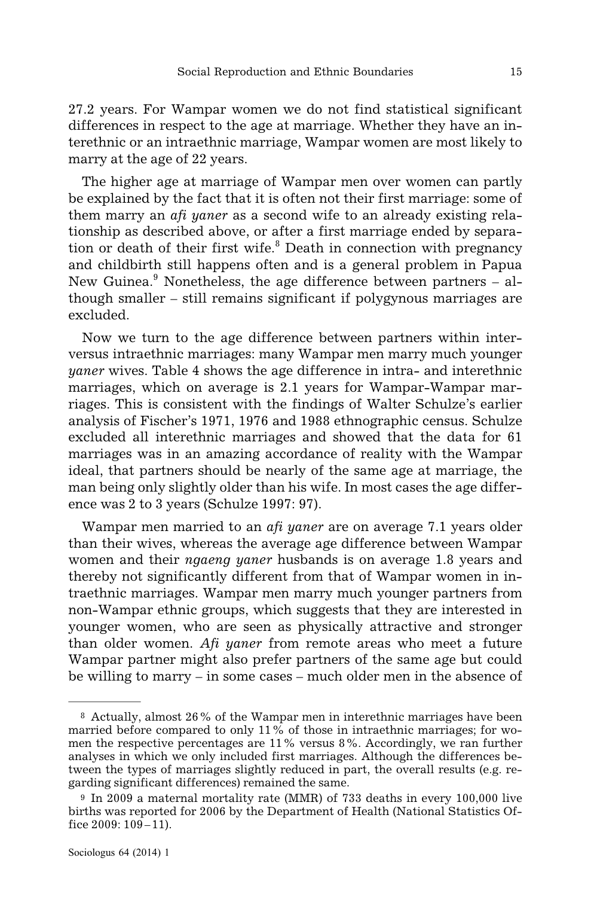27.2 years. For Wampar women we do not find statistical significant differences in respect to the age at marriage. Whether they have an interethnic or an intraethnic marriage, Wampar women are most likely to marry at the age of 22 years.

The higher age at marriage of Wampar men over women can partly be explained by the fact that it is often not their first marriage: some of them marry an *afi yaner* as a second wife to an already existing relationship as described above, or after a first marriage ended by separation or death of their first wife.<sup>8</sup> Death in connection with pregnancy and childbirth still happens often and is a general problem in Papua New Guinea. $9$  Nonetheless, the age difference between partners  $-$  although smaller – still remains significant if polygynous marriages are excluded.

Now we turn to the age difference between partners within interversus intraethnic marriages: many Wampar men marry much younger *yaner* wives. Table 4 shows the age difference in intra- and interethnic marriages, which on average is 2.1 years for Wampar-Wampar marriages. This is consistent with the findings of Walter Schulze's earlier analysis of Fischer's 1971, 1976 and 1988 ethnographic census. Schulze excluded all interethnic marriages and showed that the data for 61 marriages was in an amazing accordance of reality with the Wampar ideal, that partners should be nearly of the same age at marriage, the man being only slightly older than his wife. In most cases the age difference was 2 to 3 years (Schulze 1997: 97).

Wampar men married to an *afi yaner* are on average 7.1 years older than their wives, whereas the average age difference between Wampar women and their *ngaeng yaner* husbands is on average 1.8 years and thereby not significantly different from that of Wampar women in intraethnic marriages. Wampar men marry much younger partners from non-Wampar ethnic groups, which suggests that they are interested in younger women, who are seen as physically attractive and stronger than older women. *Afi yaner* from remote areas who meet a future Wampar partner might also prefer partners of the same age but could be willing to marry – in some cases – much older men in the absence of

<sup>8</sup> Actually, almost 26% of the Wampar men in interethnic marriages have been married before compared to only 11% of those in intraethnic marriages; for women the respective percentages are 11% versus 8%. Accordingly, we ran further analyses in which we only included first marriages. Although the differences between the types of marriages slightly reduced in part, the overall results (e.g. regarding significant differences) remained the same.

<sup>9</sup> In 2009 a maternal mortality rate (MMR) of 733 deaths in every 100,000 live births was reported for 2006 by the Department of Health (National Statistics Office 2009: 109–11).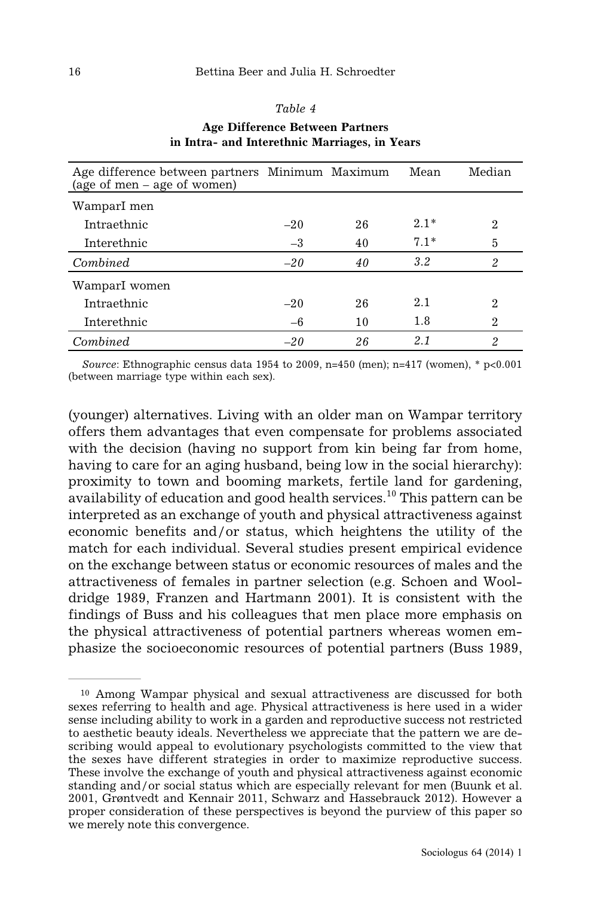### *Table 4*

| Age difference between partners Minimum Maximum<br>(age of men – age of women) |       |    | Mean   | Median         |
|--------------------------------------------------------------------------------|-------|----|--------|----------------|
| WamparI men                                                                    |       |    |        |                |
| Intraethnic                                                                    | $-20$ | 26 | $2.1*$ | $\overline{2}$ |
| Interethnic                                                                    | $-3$  | 40 | $7.1*$ | 5              |
| Combined                                                                       | $-20$ | 40 | 3.2    | 2              |
| WamparI women                                                                  |       |    |        |                |
| Intraethnic                                                                    | $-20$ | 26 | 2.1    | $\mathfrak{D}$ |
| Interethnic                                                                    | $-6$  | 10 | 1.8    | $\overline{2}$ |
| Combined                                                                       | $-20$ | 26 | 2.1    | 2              |

### **Age Difference Between Partners in Intra- and Interethnic Marriages, in Years**

*Source*: Ethnographic census data 1954 to 2009, n=450 (men); n=417 (women), \* p<0.001 (between marriage type within each sex).

(younger) alternatives. Living with an older man on Wampar territory offers them advantages that even compensate for problems associated with the decision (having no support from kin being far from home, having to care for an aging husband, being low in the social hierarchy): proximity to town and booming markets, fertile land for gardening, availability of education and good health services.<sup>10</sup> This pattern can be interpreted as an exchange of youth and physical attractiveness against economic benefits and/or status, which heightens the utility of the match for each individual. Several studies present empirical evidence on the exchange between status or economic resources of males and the attractiveness of females in partner selection (e.g. Schoen and Wooldridge 1989, Franzen and Hartmann 2001). It is consistent with the findings of Buss and his colleagues that men place more emphasis on the physical attractiveness of potential partners whereas women emphasize the socioeconomic resources of potential partners (Buss 1989,

<sup>10</sup> Among Wampar physical and sexual attractiveness are discussed for both sexes referring to health and age. Physical attractiveness is here used in a wider sense including ability to work in a garden and reproductive success not restricted to aesthetic beauty ideals. Nevertheless we appreciate that the pattern we are describing would appeal to evolutionary psychologists committed to the view that the sexes have different strategies in order to maximize reproductive success. These involve the exchange of youth and physical attractiveness against economic standing and/or social status which are especially relevant for men (Buunk et al. 2001, Grøntvedt and Kennair 2011, Schwarz and Hassebrauck 2012). However a proper consideration of these perspectives is beyond the purview of this paper so we merely note this convergence.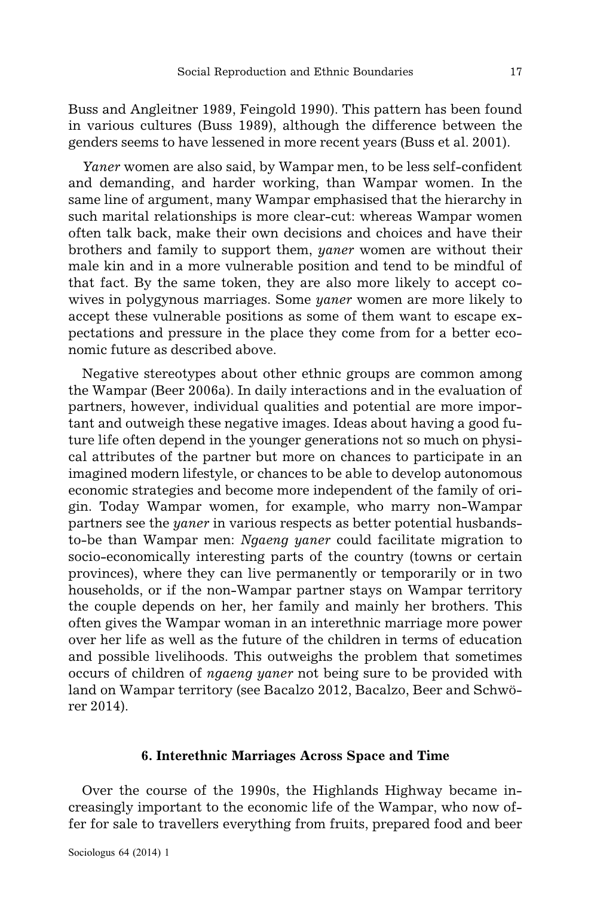Buss and Angleitner 1989, Feingold 1990). This pattern has been found in various cultures (Buss 1989), although the difference between the genders seems to have lessened in more recent years (Buss et al. 2001).

*Yaner* women are also said, by Wampar men, to be less self-confident and demanding, and harder working, than Wampar women. In the same line of argument, many Wampar emphasised that the hierarchy in such marital relationships is more clear-cut: whereas Wampar women often talk back, make their own decisions and choices and have their brothers and family to support them, *yaner* women are without their male kin and in a more vulnerable position and tend to be mindful of that fact. By the same token, they are also more likely to accept cowives in polygynous marriages. Some *yaner* women are more likely to accept these vulnerable positions as some of them want to escape expectations and pressure in the place they come from for a better economic future as described above.

Negative stereotypes about other ethnic groups are common among the Wampar (Beer 2006a). In daily interactions and in the evaluation of partners, however, individual qualities and potential are more important and outweigh these negative images. Ideas about having a good future life often depend in the younger generations not so much on physical attributes of the partner but more on chances to participate in an imagined modern lifestyle, or chances to be able to develop autonomous economic strategies and become more independent of the family of origin. Today Wampar women, for example, who marry non-Wampar partners see the *yaner* in various respects as better potential husbandsto-be than Wampar men: *Ngaeng yaner* could facilitate migration to socio-economically interesting parts of the country (towns or certain provinces), where they can live permanently or temporarily or in two households, or if the non-Wampar partner stays on Wampar territory the couple depends on her, her family and mainly her brothers. This often gives the Wampar woman in an interethnic marriage more power over her life as well as the future of the children in terms of education and possible livelihoods. This outweighs the problem that sometimes occurs of children of *ngaeng yaner* not being sure to be provided with land on Wampar territory (see Bacalzo 2012, Bacalzo, Beer and Schwörer 2014).

### **6. Interethnic Marriages Across Space and Time**

Over the course of the 1990s, the Highlands Highway became increasingly important to the economic life of the Wampar, who now offer for sale to travellers everything from fruits, prepared food and beer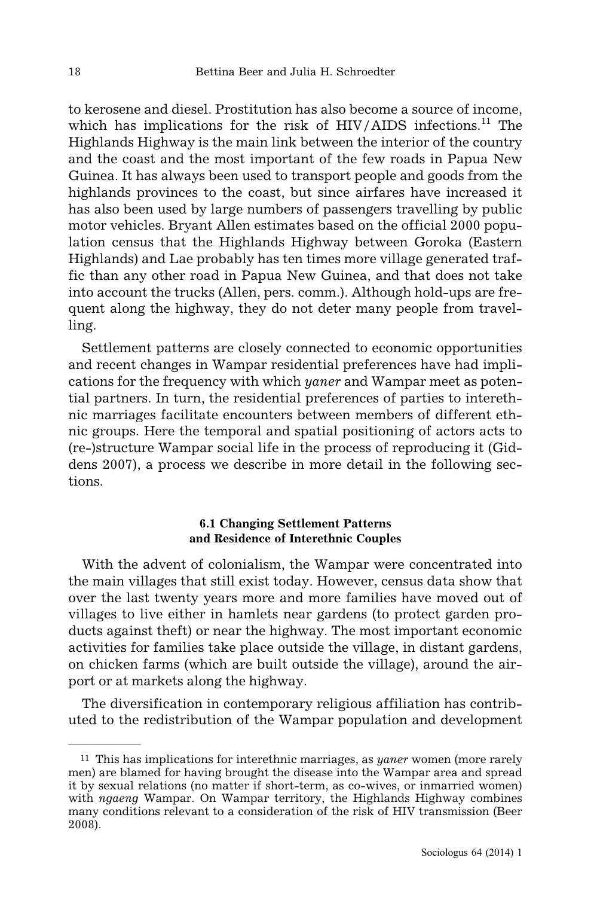to kerosene and diesel. Prostitution has also become a source of income, which has implications for the risk of  $HIV/AIDS$  infections.<sup>11</sup> The Highlands Highway is the main link between the interior of the country and the coast and the most important of the few roads in Papua New Guinea. It has always been used to transport people and goods from the highlands provinces to the coast, but since airfares have increased it has also been used by large numbers of passengers travelling by public motor vehicles. Bryant Allen estimates based on the official 2000 population census that the Highlands Highway between Goroka (Eastern Highlands) and Lae probably has ten times more village generated traffic than any other road in Papua New Guinea, and that does not take into account the trucks (Allen, pers. comm.). Although hold-ups are frequent along the highway, they do not deter many people from travelling.

Settlement patterns are closely connected to economic opportunities and recent changes in Wampar residential preferences have had implications for the frequency with which *yaner* and Wampar meet as potential partners. In turn, the residential preferences of parties to interethnic marriages facilitate encounters between members of different ethnic groups. Here the temporal and spatial positioning of actors acts to (re-)structure Wampar social life in the process of reproducing it (Giddens 2007), a process we describe in more detail in the following sections.

### **6.1 Changing Settlement Patterns and Residence of Interethnic Couples**

With the advent of colonialism, the Wampar were concentrated into the main villages that still exist today. However, census data show that over the last twenty years more and more families have moved out of villages to live either in hamlets near gardens (to protect garden products against theft) or near the highway. The most important economic activities for families take place outside the village, in distant gardens, on chicken farms (which are built outside the village), around the airport or at markets along the highway.

The diversification in contemporary religious affiliation has contributed to the redistribution of the Wampar population and development

<sup>11</sup> This has implications for interethnic marriages, as *yaner* women (more rarely men) are blamed for having brought the disease into the Wampar area and spread it by sexual relations (no matter if short-term, as co-wives, or inmarried women) with *ngaeng* Wampar. On Wampar territory, the Highlands Highway combines many conditions relevant to a consideration of the risk of HIV transmission (Beer 2008).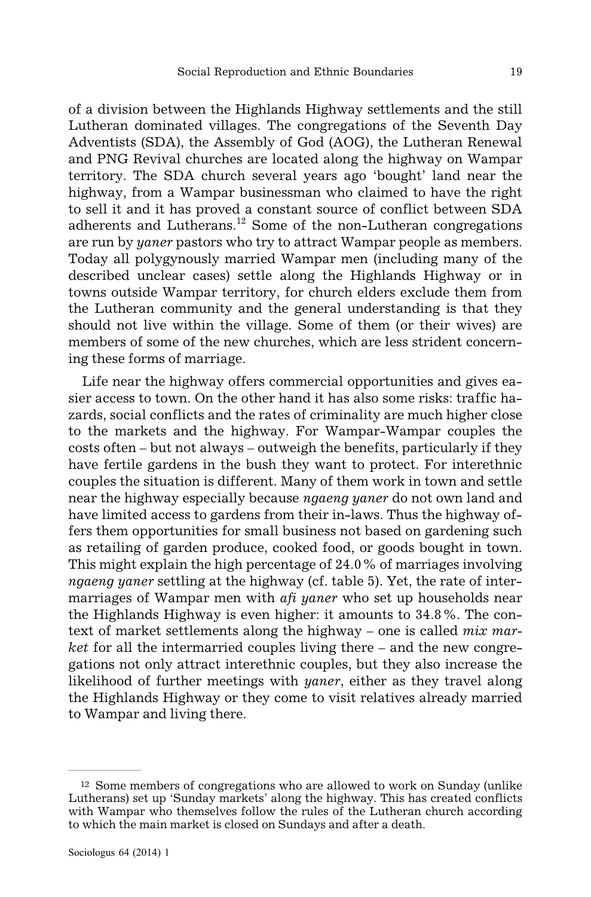of a division between the Highlands Highway settlements and the still Lutheran dominated villages. The congregations of the Seventh Day Adventists (SDA), the Assembly of God (AOG), the Lutheran Renewal and PNG Revival churches are located along the highway on Wampar territory. The SDA church several years ago 'bought' land near the highway, from a Wampar businessman who claimed to have the right to sell it and it has proved a constant source of conflict between SDA adherents and Lutherans.<sup>12</sup> Some of the non-Lutheran congregations are run by *yaner* pastors who try to attract Wampar people as members. Today all polygynously married Wampar men (including many of the described unclear cases) settle along the Highlands Highway or in towns outside Wampar territory, for church elders exclude them from the Lutheran community and the general understanding is that they should not live within the village. Some of them (or their wives) are members of some of the new churches, which are less strident concerning these forms of marriage.

Life near the highway offers commercial opportunities and gives easier access to town. On the other hand it has also some risks: traffic hazards, social conflicts and the rates of criminality are much higher close to the markets and the highway. For Wampar-Wampar couples the costs often – but not always – outweigh the benefits, particularly if they have fertile gardens in the bush they want to protect. For interethnic couples the situation is different. Many of them work in town and settle near the highway especially because *ngaeng yaner* do not own land and have limited access to gardens from their in-laws. Thus the highway offers them opportunities for small business not based on gardening such as retailing of garden produce, cooked food, or goods bought in town. This might explain the high percentage of 24.0% of marriages involving *ngaeng yaner* settling at the highway (cf. table 5). Yet, the rate of intermarriages of Wampar men with *afi yaner* who set up households near the Highlands Highway is even higher: it amounts to 34.8%. The context of market settlements along the highway – one is called *mix market* for all the intermarried couples living there – and the new congregations not only attract interethnic couples, but they also increase the likelihood of further meetings with *yaner*, either as they travel along the Highlands Highway or they come to visit relatives already married to Wampar and living there.

<sup>12</sup> Some members of congregations who are allowed to work on Sunday (unlike Lutherans) set up 'Sunday markets' along the highway. This has created conflicts with Wampar who themselves follow the rules of the Lutheran church according to which the main market is closed on Sundays and after a death.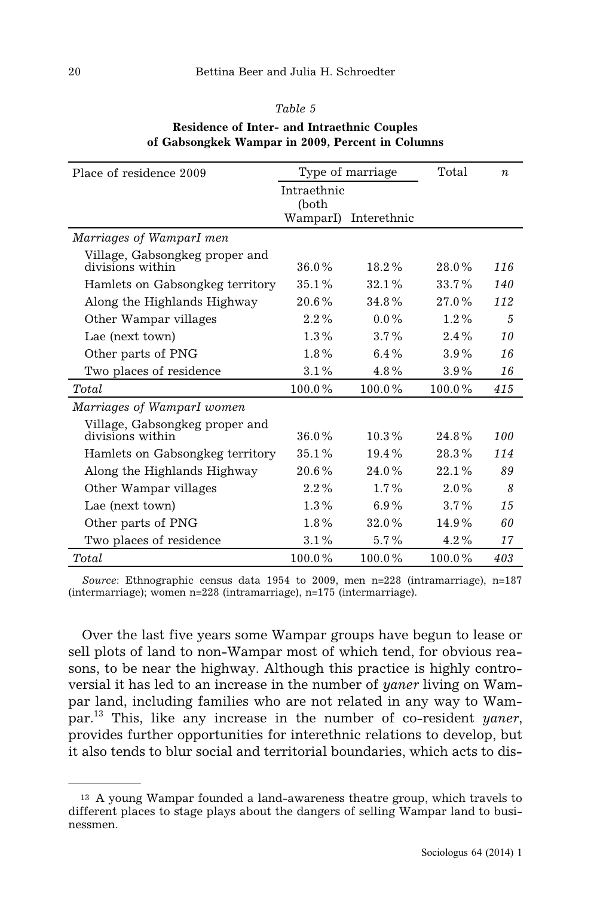| Place of residence 2009         | Type of marriage |             | Total   | $\boldsymbol{n}$ |
|---------------------------------|------------------|-------------|---------|------------------|
|                                 | Intraethnic      |             |         |                  |
|                                 | (both            |             |         |                  |
|                                 | WamparI)         | Interethnic |         |                  |
| Marriages of WamparI men        |                  |             |         |                  |
| Village, Gabsongkeg proper and  |                  |             |         |                  |
| divisions within                | 36.0%            | 18.2%       | 28.0%   | 116              |
| Hamlets on Gabsongkeg territory | 35.1%            | 32.1%       | 33.7%   | 140              |
| Along the Highlands Highway     | $20.6\%$         | 34.8%       | 27.0%   | 112              |
| Other Wampar villages           | $2.2\%$          | $0.0\%$     | $1.2\%$ | $\overline{5}$   |
| Lae (next town)                 | $1.3\%$          | $3.7\%$     | $2.4\%$ | 10               |
| Other parts of PNG              | 1.8%             | $6.4\%$     | 3.9%    | 16               |
| Two places of residence         | 3.1%             | $4.8\%$     | 3.9%    | 16               |
| Total                           | 100.0%           | 100.0%      | 100.0%  | 415              |
| Marriages of WamparI women      |                  |             |         |                  |
| Village, Gabsongkeg proper and  |                  |             |         |                  |
| divisions within                | $36.0\%$         | $10.3\%$    | 24.8%   | 100              |
| Hamlets on Gabsongkeg territory | 35.1%            | 19.4%       | 28.3%   | 114              |
| Along the Highlands Highway     | 20.6%            | 24.0%       | 22.1%   | 89               |
| Other Wampar villages           | $2.2\%$          | $1.7\%$     | $2.0\%$ | 8                |
| Lae (next town)                 | $1.3\%$          | 6.9%        | $3.7\%$ | 15               |
| Other parts of PNG              | $1.8\%$          | 32.0%       | 14.9%   | 60               |
| Two places of residence         | 3.1%             | 5.7%        | $4.2\%$ | 17               |
| Total                           | 100.0%           | 100.0%      | 100.0%  | 403              |

# *Table 5* **Residence of Inter- and Intraethnic Couples of Gabsongkek Wampar in 2009, Percent in Columns**

*Source*: Ethnographic census data 1954 to 2009, men n=228 (intramarriage), n=187 (intermarriage); women n=228 (intramarriage), n=175 (intermarriage).

Over the last five years some Wampar groups have begun to lease or sell plots of land to non-Wampar most of which tend, for obvious reasons, to be near the highway. Although this practice is highly controversial it has led to an increase in the number of *yaner* living on Wampar land, including families who are not related in any way to Wampar.<sup>13</sup> This, like any increase in the number of co-resident *yaner*, provides further opportunities for interethnic relations to develop, but it also tends to blur social and territorial boundaries, which acts to dis-

<sup>13</sup> A young Wampar founded a land-awareness theatre group, which travels to different places to stage plays about the dangers of selling Wampar land to businessmen.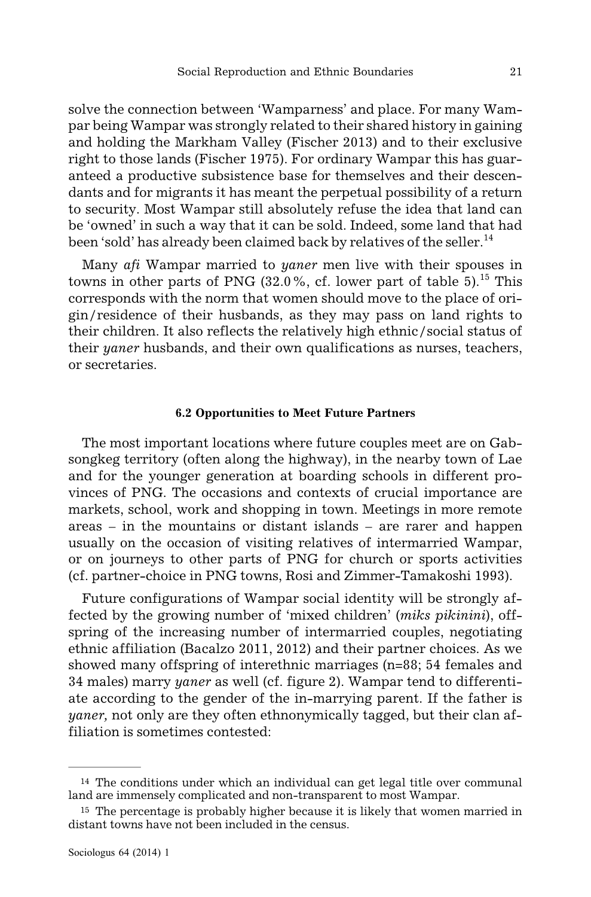solve the connection between 'Wamparness' and place. For many Wampar being Wampar was strongly related to their shared history in gaining and holding the Markham Valley (Fischer 2013) and to their exclusive right to those lands (Fischer 1975). For ordinary Wampar this has guaranteed a productive subsistence base for themselves and their descendants and for migrants it has meant the perpetual possibility of a return to security. Most Wampar still absolutely refuse the idea that land can be 'owned' in such a way that it can be sold. Indeed, some land that had been 'sold' has already been claimed back by relatives of the seller.<sup>14</sup>

Many *afi* Wampar married to *yaner* men live with their spouses in towns in other parts of PNG  $(32.0\%$ , cf. lower part of table  $5$ ).<sup>15</sup> This corresponds with the norm that women should move to the place of origin/residence of their husbands, as they may pass on land rights to their children. It also reflects the relatively high ethnic/social status of their *yaner* husbands, and their own qualifications as nurses, teachers, or secretaries.

### **6.2 Opportunities to Meet Future Partners**

The most important locations where future couples meet are on Gabsongkeg territory (often along the highway), in the nearby town of Lae and for the younger generation at boarding schools in different provinces of PNG. The occasions and contexts of crucial importance are markets, school, work and shopping in town. Meetings in more remote areas – in the mountains or distant islands – are rarer and happen usually on the occasion of visiting relatives of intermarried Wampar, or on journeys to other parts of PNG for church or sports activities (cf. partner-choice in PNG towns, Rosi and Zimmer-Tamakoshi 1993).

Future configurations of Wampar social identity will be strongly affected by the growing number of 'mixed children' (*miks pikinini*), offspring of the increasing number of intermarried couples, negotiating ethnic affiliation (Bacalzo 2011, 2012) and their partner choices. As we showed many offspring of interethnic marriages (n=88; 54 females and 34 males) marry *yaner* as well (cf. figure 2). Wampar tend to differentiate according to the gender of the in-marrying parent. If the father is *yaner,* not only are they often ethnonymically tagged, but their clan affiliation is sometimes contested:

<sup>14</sup> The conditions under which an individual can get legal title over communal land are immensely complicated and non-transparent to most Wampar.

<sup>15</sup> The percentage is probably higher because it is likely that women married in distant towns have not been included in the census.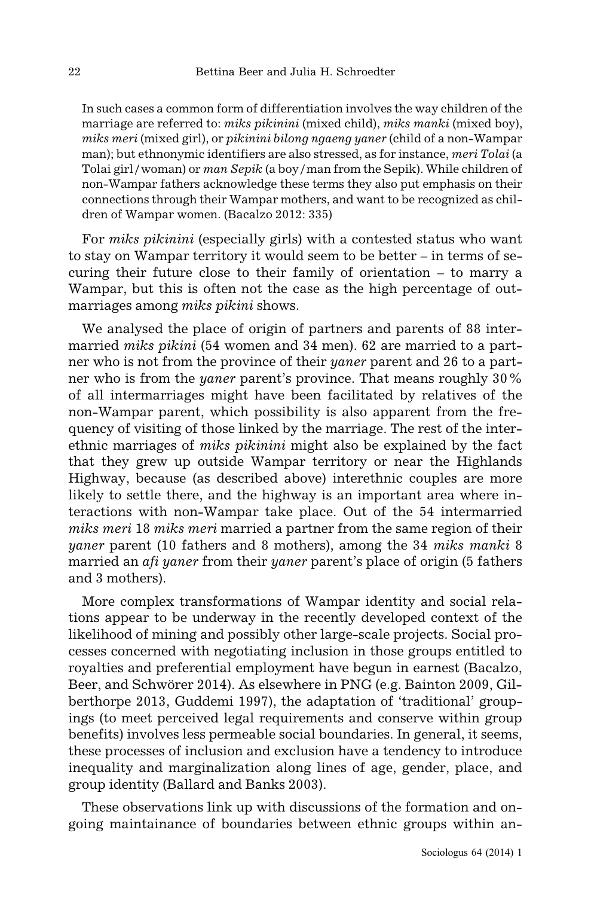In such cases a common form of differentiation involves the way children of the marriage are referred to: *miks pikinini* (mixed child), *miks manki* (mixed boy), *miks meri* (mixed girl), or *pikinini bilong ngaeng yaner* (child of a non-Wampar man); but ethnonymic identifiers are also stressed, as for instance, *meri Tolai* (a Tolai girl/woman) or *man Sepik* (a boy/man from the Sepik). While children of non-Wampar fathers acknowledge these terms they also put emphasis on their connections through their Wampar mothers, and want to be recognized as children of Wampar women. (Bacalzo 2012: 335)

For *miks pikinini* (especially girls) with a contested status who want to stay on Wampar territory it would seem to be better – in terms of securing their future close to their family of orientation – to marry a Wampar, but this is often not the case as the high percentage of outmarriages among *miks pikini* shows.

We analysed the place of origin of partners and parents of 88 intermarried *miks pikini* (54 women and 34 men). 62 are married to a partner who is not from the province of their *yaner* parent and 26 to a partner who is from the *yaner* parent's province. That means roughly 30% of all intermarriages might have been facilitated by relatives of the non-Wampar parent, which possibility is also apparent from the frequency of visiting of those linked by the marriage. The rest of the interethnic marriages of *miks pikinini* might also be explained by the fact that they grew up outside Wampar territory or near the Highlands Highway, because (as described above) interethnic couples are more likely to settle there, and the highway is an important area where interactions with non-Wampar take place. Out of the 54 intermarried *miks meri* 18 *miks meri* married a partner from the same region of their *yaner* parent (10 fathers and 8 mothers), among the 34 *miks manki* 8 married an *afi yaner* from their *yaner* parent's place of origin (5 fathers and 3 mothers).

More complex transformations of Wampar identity and social relations appear to be underway in the recently developed context of the likelihood of mining and possibly other large-scale projects. Social processes concerned with negotiating inclusion in those groups entitled to royalties and preferential employment have begun in earnest (Bacalzo, Beer, and Schwörer 2014). As elsewhere in PNG (e.g. Bainton 2009, Gilberthorpe 2013, Guddemi 1997), the adaptation of 'traditional' groupings (to meet perceived legal requirements and conserve within group benefits) involves less permeable social boundaries. In general, it seems, these processes of inclusion and exclusion have a tendency to introduce inequality and marginalization along lines of age, gender, place, and group identity (Ballard and Banks 2003).

These observations link up with discussions of the formation and ongoing maintainance of boundaries between ethnic groups within an-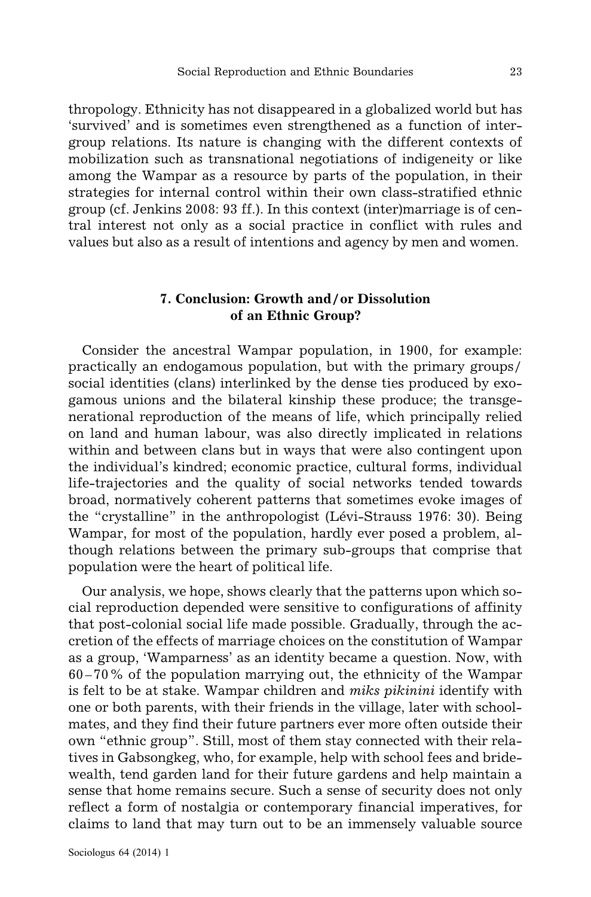thropology. Ethnicity has not disappeared in a globalized world but has 'survived' and is sometimes even strengthened as a function of intergroup relations. Its nature is changing with the different contexts of mobilization such as transnational negotiations of indigeneity or like among the Wampar as a resource by parts of the population, in their strategies for internal control within their own class-stratified ethnic group (cf. Jenkins 2008: 93 ff.). In this context (inter)marriage is of central interest not only as a social practice in conflict with rules and values but also as a result of intentions and agency by men and women.

### **7. Conclusion: Growth and/or Dissolution of an Ethnic Group?**

Consider the ancestral Wampar population, in 1900, for example: practically an endogamous population, but with the primary groups/ social identities (clans) interlinked by the dense ties produced by exogamous unions and the bilateral kinship these produce; the transgenerational reproduction of the means of life, which principally relied on land and human labour, was also directly implicated in relations within and between clans but in ways that were also contingent upon the individual's kindred; economic practice, cultural forms, individual life-trajectories and the quality of social networks tended towards broad, normatively coherent patterns that sometimes evoke images of the "crystalline" in the anthropologist (Lévi-Strauss 1976: 30). Being Wampar, for most of the population, hardly ever posed a problem, although relations between the primary sub-groups that comprise that population were the heart of political life.

Our analysis, we hope, shows clearly that the patterns upon which social reproduction depended were sensitive to configurations of affinity that post-colonial social life made possible. Gradually, through the accretion of the effects of marriage choices on the constitution of Wampar as a group, 'Wamparness' as an identity became a question. Now, with 60–70% of the population marrying out, the ethnicity of the Wampar is felt to be at stake. Wampar children and *miks pikinini* identify with one or both parents, with their friends in the village, later with schoolmates, and they find their future partners ever more often outside their own "ethnic group". Still, most of them stay connected with their relatives in Gabsongkeg, who, for example, help with school fees and bridewealth, tend garden land for their future gardens and help maintain a sense that home remains secure. Such a sense of security does not only reflect a form of nostalgia or contemporary financial imperatives, for claims to land that may turn out to be an immensely valuable source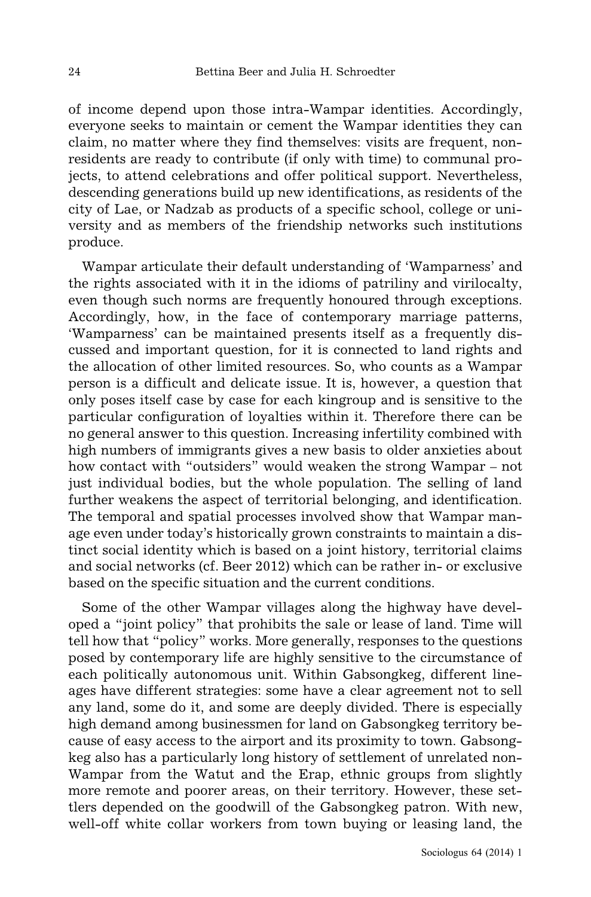of income depend upon those intra-Wampar identities. Accordingly, everyone seeks to maintain or cement the Wampar identities they can claim, no matter where they find themselves: visits are frequent, nonresidents are ready to contribute (if only with time) to communal projects, to attend celebrations and offer political support. Nevertheless, descending generations build up new identifications, as residents of the city of Lae, or Nadzab as products of a specific school, college or university and as members of the friendship networks such institutions produce.

Wampar articulate their default understanding of 'Wamparness' and the rights associated with it in the idioms of patriliny and virilocalty, even though such norms are frequently honoured through exceptions. Accordingly, how, in the face of contemporary marriage patterns, 'Wamparness' can be maintained presents itself as a frequently discussed and important question, for it is connected to land rights and the allocation of other limited resources. So, who counts as a Wampar person is a difficult and delicate issue. It is, however, a question that only poses itself case by case for each kingroup and is sensitive to the particular configuration of loyalties within it. Therefore there can be no general answer to this question. Increasing infertility combined with high numbers of immigrants gives a new basis to older anxieties about how contact with "outsiders" would weaken the strong Wampar – not just individual bodies, but the whole population. The selling of land further weakens the aspect of territorial belonging, and identification. The temporal and spatial processes involved show that Wampar manage even under today's historically grown constraints to maintain a distinct social identity which is based on a joint history, territorial claims and social networks (cf. Beer 2012) which can be rather in- or exclusive based on the specific situation and the current conditions.

Some of the other Wampar villages along the highway have developed a "joint policy" that prohibits the sale or lease of land. Time will tell how that "policy" works. More generally, responses to the questions posed by contemporary life are highly sensitive to the circumstance of each politically autonomous unit. Within Gabsongkeg, different lineages have different strategies: some have a clear agreement not to sell any land, some do it, and some are deeply divided. There is especially high demand among businessmen for land on Gabsongkeg territory because of easy access to the airport and its proximity to town. Gabsongkeg also has a particularly long history of settlement of unrelated non-Wampar from the Watut and the Erap, ethnic groups from slightly more remote and poorer areas, on their territory. However, these settlers depended on the goodwill of the Gabsongkeg patron. With new, well-off white collar workers from town buying or leasing land, the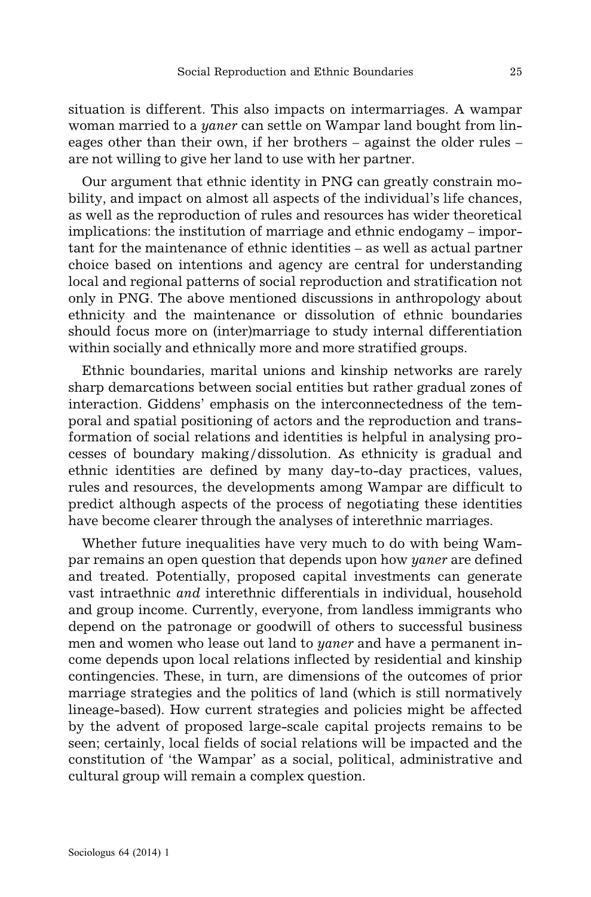situation is different. This also impacts on intermarriages. A wampar woman married to a *yaner* can settle on Wampar land bought from lineages other than their own, if her brothers – against the older rules – are not willing to give her land to use with her partner.

Our argument that ethnic identity in PNG can greatly constrain mobility, and impact on almost all aspects of the individual's life chances, as well as the reproduction of rules and resources has wider theoretical implications: the institution of marriage and ethnic endogamy – important for the maintenance of ethnic identities – as well as actual partner choice based on intentions and agency are central for understanding local and regional patterns of social reproduction and stratification not only in PNG. The above mentioned discussions in anthropology about ethnicity and the maintenance or dissolution of ethnic boundaries should focus more on (inter)marriage to study internal differentiation within socially and ethnically more and more stratified groups.

Ethnic boundaries, marital unions and kinship networks are rarely sharp demarcations between social entities but rather gradual zones of interaction. Giddens' emphasis on the interconnectedness of the temporal and spatial positioning of actors and the reproduction and transformation of social relations and identities is helpful in analysing processes of boundary making/dissolution. As ethnicity is gradual and ethnic identities are defined by many day-to-day practices, values, rules and resources, the developments among Wampar are difficult to predict although aspects of the process of negotiating these identities have become clearer through the analyses of interethnic marriages.

Whether future inequalities have very much to do with being Wampar remains an open question that depends upon how *yaner* are defined and treated. Potentially, proposed capital investments can generate vast intraethnic *and* interethnic differentials in individual, household and group income. Currently, everyone, from landless immigrants who depend on the patronage or goodwill of others to successful business men and women who lease out land to *yaner* and have a permanent income depends upon local relations inflected by residential and kinship contingencies. These, in turn, are dimensions of the outcomes of prior marriage strategies and the politics of land (which is still normatively lineage-based). How current strategies and policies might be affected by the advent of proposed large-scale capital projects remains to be seen; certainly, local fields of social relations will be impacted and the constitution of 'the Wampar' as a social, political, administrative and cultural group will remain a complex question.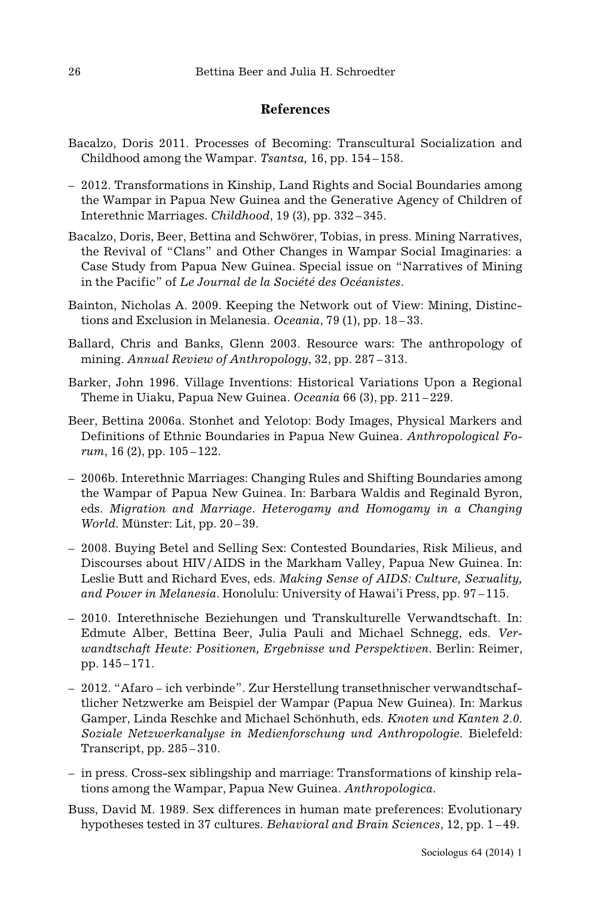## **References**

- Bacalzo, Doris 2011. Processes of Becoming: Transcultural Socialization and Childhood among the Wampar. *Tsantsa,* 16, pp. 154–158.
- 2012. Transformations in Kinship, Land Rights and Social Boundaries among the Wampar in Papua New Guinea and the Generative Agency of Children of Interethnic Marriages. *Childhood*, 19 (3), pp. 332–345.
- Bacalzo, Doris, Beer, Bettina and Schwörer, Tobias, in press. Mining Narratives, the Revival of "Clans" and Other Changes in Wampar Social Imaginaries: a Case Study from Papua New Guinea. Special issue on "Narratives of Mining in the Pacific" of *Le Journal de la Société des Océanistes*.
- Bainton, Nicholas A. 2009. Keeping the Network out of View: Mining, Distinctions and Exclusion in Melanesia. *Oceania*, 79 (1), pp. 18–33.
- Ballard, Chris and Banks, Glenn 2003. Resource wars: The anthropology of mining. *Annual Review of Anthropology*, 32, pp. 287 –313.
- Barker, John 1996. Village Inventions: Historical Variations Upon a Regional Theme in Uiaku, Papua New Guinea. *Oceania* 66 (3), pp. 211–229.
- Beer, Bettina 2006a. Stonhet and Yelotop: Body Images, Physical Markers and Definitions of Ethnic Boundaries in Papua New Guinea. *Anthropological Forum*, 16 (2), pp. 105–122.
- 2006b. Interethnic Marriages: Changing Rules and Shifting Boundaries among the Wampar of Papua New Guinea. In: Barbara Waldis and Reginald Byron, eds. *Migration and Marriage. Heterogamy and Homogamy in a Changing World.* Münster: Lit, pp. 20–39.
- 2008. Buying Betel and Selling Sex: Contested Boundaries, Risk Milieus, and Discourses about HIV/AIDS in the Markham Valley, Papua New Guinea. In: Leslie Butt and Richard Eves, eds. *Making Sense of AIDS: Culture, Sexuality, and Power in Melanesia*. Honolulu: University of Hawai'i Press, pp. 97 –115.
- 2010. Interethnische Beziehungen und Transkulturelle Verwandtschaft. In: Edmute Alber, Bettina Beer, Julia Pauli and Michael Schnegg, eds. *Verwandtschaft Heute: Positionen, Ergebnisse und Perspektiven.* Berlin: Reimer, pp. 145–171.
- 2012. "Afaro ich verbinde". Zur Herstellung transethnischer verwandtschaftlicher Netzwerke am Beispiel der Wampar (Papua New Guinea). In: Markus Gamper, Linda Reschke and Michael Schönhuth, eds. *Knoten und Kanten 2.0. Soziale Netzwerkanalyse in Medienforschung und Anthropologie.* Bielefeld: Transcript, pp. 285–310.
- in press. Cross-sex siblingship and marriage: Transformations of kinship relations among the Wampar, Papua New Guinea. *Anthropologica*.
- Buss, David M. 1989. Sex differences in human mate preferences: Evolutionary hypotheses tested in 37 cultures. *Behavioral and Brain Sciences*, 12, pp. 1 –49.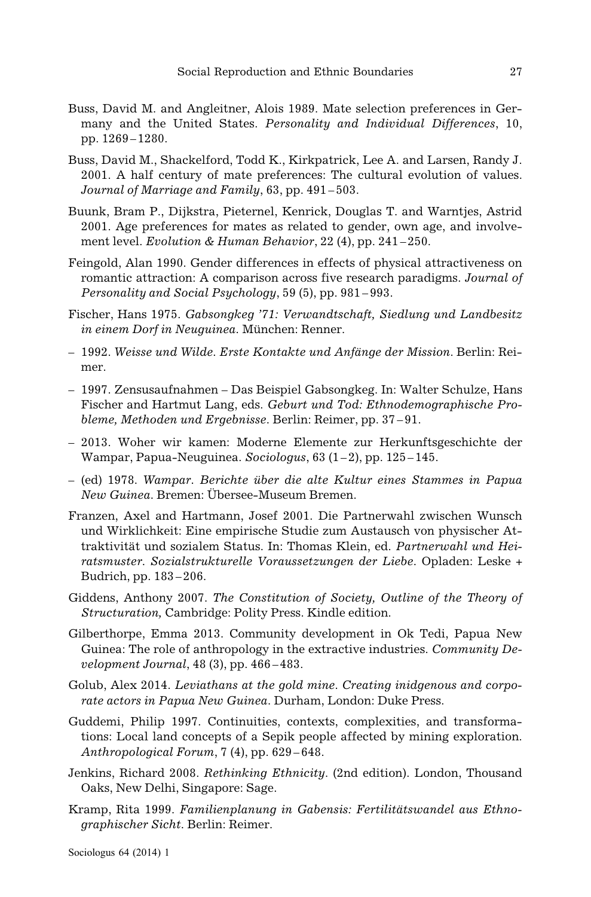- Buss, David M. and Angleitner, Alois 1989. Mate selection preferences in Germany and the United States. *Personality and Individual Differences*, 10, pp. 1269–1280.
- Buss, David M., Shackelford, Todd K., Kirkpatrick, Lee A. and Larsen, Randy J. 2001. A half century of mate preferences: The cultural evolution of values. *Journal of Marriage and Family*, 63, pp. 491 –503.
- Buunk, Bram P., Dijkstra, Pieternel, Kenrick, Douglas T. and Warntjes, Astrid 2001. Age preferences for mates as related to gender, own age, and involvement level. *Evolution & Human Behavior*, 22 (4), pp. 241 –250.
- Feingold, Alan 1990. Gender differences in effects of physical attractiveness on romantic attraction: A comparison across five research paradigms. *Journal of Personality and Social Psychology*, 59 (5), pp. 981 –993.
- Fischer, Hans 1975. *Gabsongkeg '71: Verwandtschaft, Siedlung und Landbesitz in einem Dorf in Neuguinea.* München: Renner.
- 1992. *Weisse und Wilde. Erste Kontakte und Anfänge der Mission*. Berlin: Reimer.
- 1997. Zensusaufnahmen Das Beispiel Gabsongkeg. In: Walter Schulze, Hans Fischer and Hartmut Lang, eds. *Geburt und Tod: Ethnodemographische Probleme, Methoden und Ergebnisse.* Berlin: Reimer, pp. 37–91.
- 2013. Woher wir kamen: Moderne Elemente zur Herkunftsgeschichte der Wampar, Papua-Neuguinea. *Sociologus*, 63 (1–2), pp. 125–145.
- (ed) 1978. *Wampar. Berichte über die alte Kultur eines Stammes in Papua New Guinea.* Bremen: Übersee-Museum Bremen.
- Franzen, Axel and Hartmann, Josef 2001. Die Partnerwahl zwischen Wunsch und Wirklichkeit: Eine empirische Studie zum Austausch von physischer Attraktivität und sozialem Status. In: Thomas Klein, ed. *Partnerwahl und Heiratsmuster. Sozialstrukturelle Voraussetzungen der Liebe.* Opladen: Leske + Budrich, pp. 183–206.
- Giddens, Anthony 2007. *The Constitution of Society, Outline of the Theory of Structuration,* Cambridge: Polity Press. Kindle edition.
- Gilberthorpe, Emma 2013. Community development in Ok Tedi, Papua New Guinea: The role of anthropology in the extractive industries. *Community Development Journal*, 48 (3), pp. 466 –483.
- Golub, Alex 2014. *Leviathans at the gold mine. Creating inidgenous and corporate actors in Papua New Guinea*. Durham, London: Duke Press.
- Guddemi, Philip 1997. Continuities, contexts, complexities, and transformations: Local land concepts of a Sepik people affected by mining exploration. *Anthropological Forum*, 7 (4), pp. 629 –648.
- Jenkins, Richard 2008. *Rethinking Ethnicity*. (2nd edition). London, Thousand Oaks, New Delhi, Singapore: Sage.
- Kramp, Rita 1999. *Familienplanung in Gabensis: Fertilitätswandel aus Ethnographischer Sicht.* Berlin: Reimer.